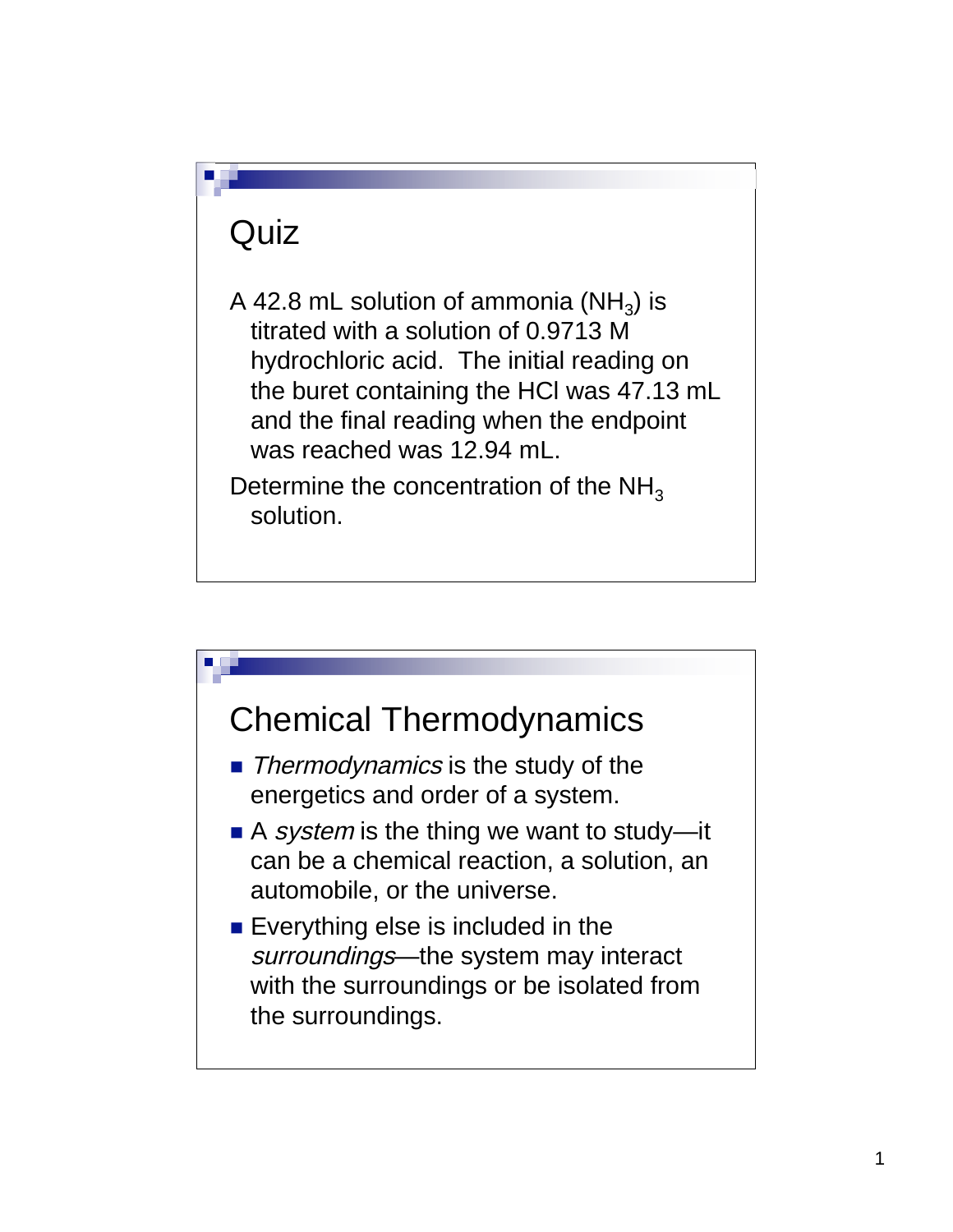#### **Quiz**

A 42.8 mL solution of ammonia  $(NH_3)$  is titrated with a solution of 0.9713 M hydrochloric acid. The initial reading on the buret containing the HCl was 47.13 mL and the final reading when the endpoint was reached was 12.94 mL.

Determine the concentration of the  $NH<sub>3</sub>$ solution.

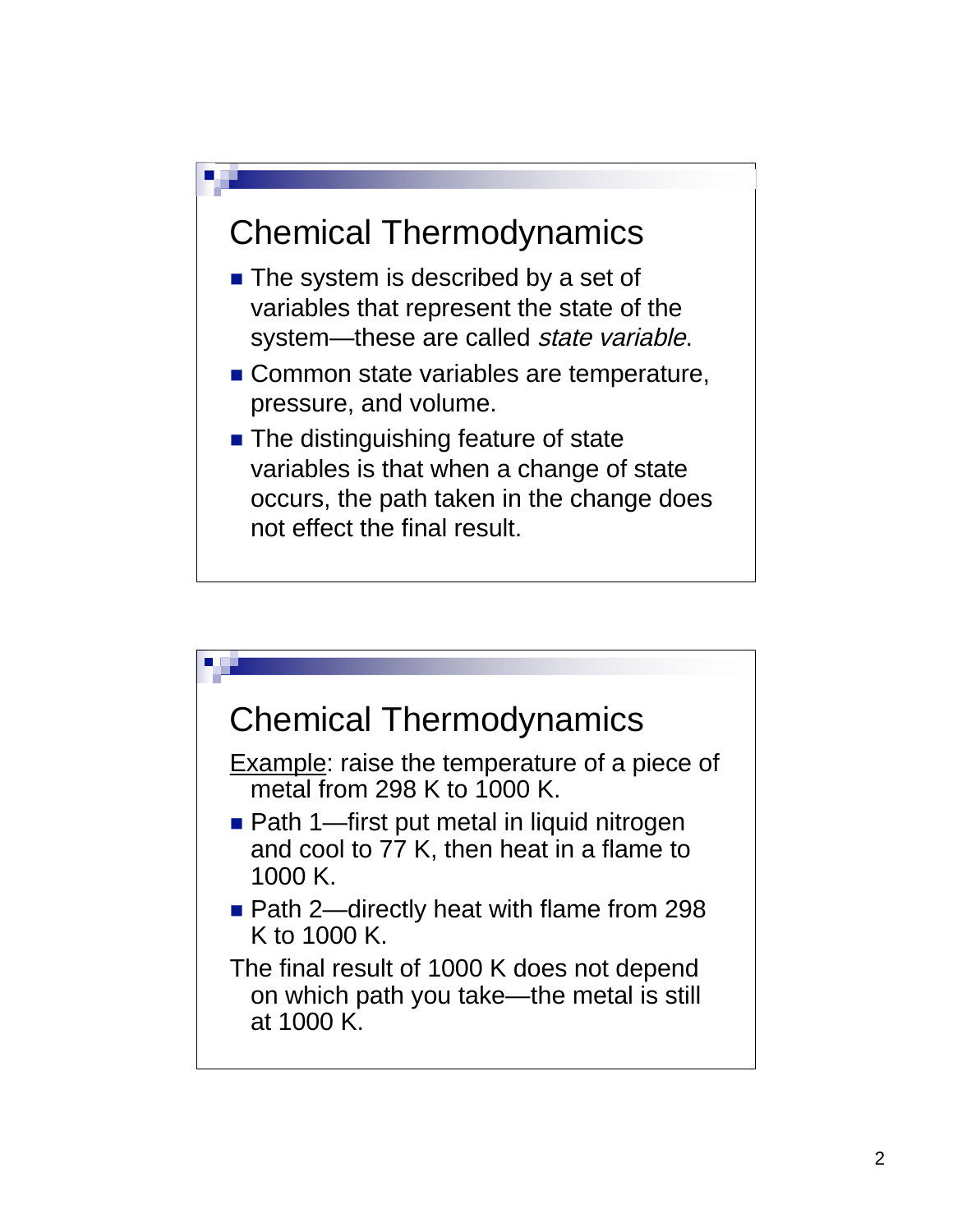#### Chemical Thermodynamics

- $\blacksquare$  The system is described by a set of variables that represent the state of the system—these are called *state variable*.
- Common state variables are temperature, pressure, and volume.
- The distinguishing feature of state variables is that when a change of state occurs, the path taken in the change does not effect the final result.

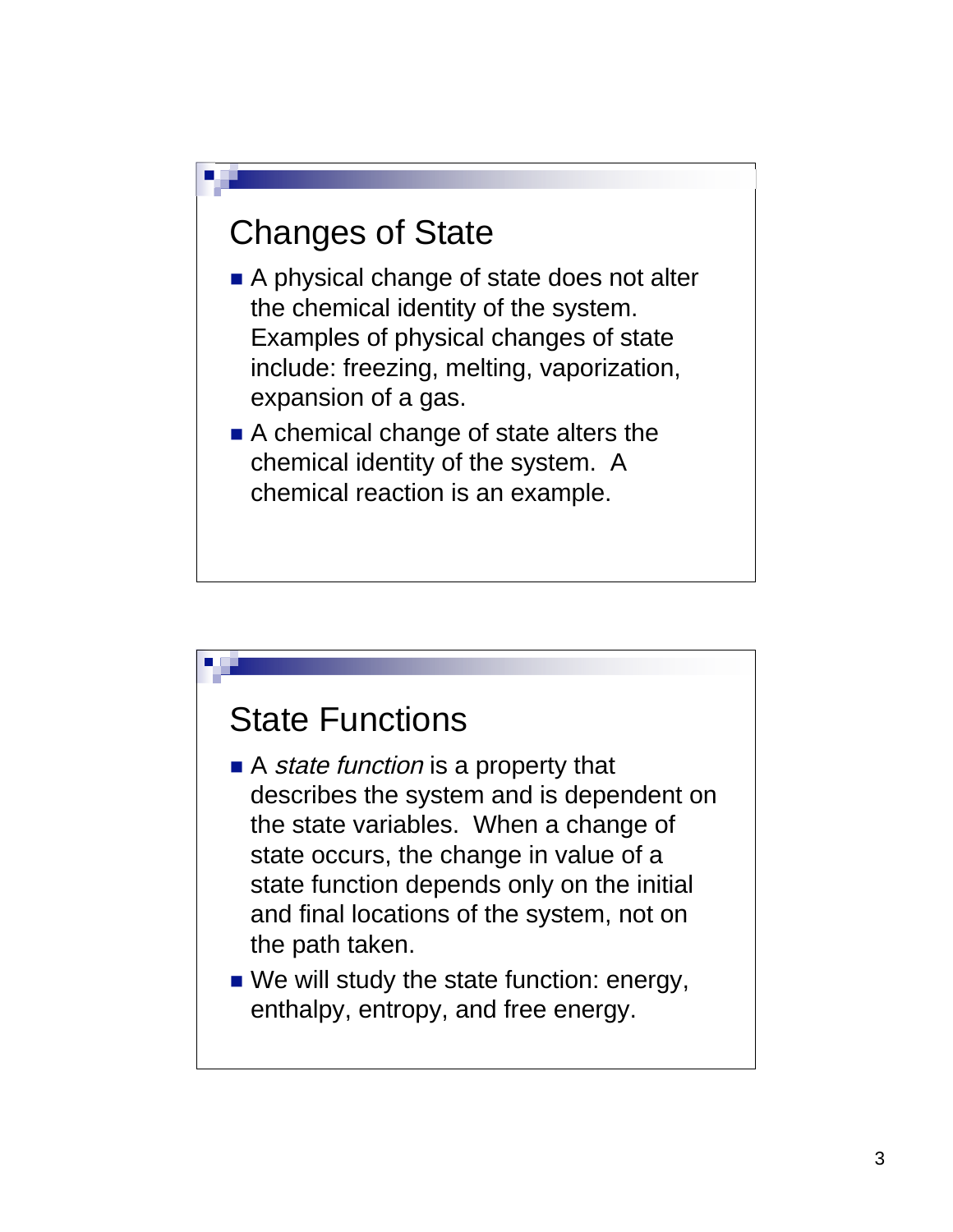#### Changes of State

- A physical change of state does not alter the chemical identity of the system. Examples of physical changes of state include: freezing, melting, vaporization, expansion of a gas.
- A chemical change of state alters the chemical identity of the system. A chemical reaction is an example.

#### State Functions

- $\blacksquare$  A *state function* is a property that describes the system and is dependent on the state variables. When a change of state occurs, the change in value of a state function depends only on the initial and final locations of the system, not on the path taken.
- We will study the state function: energy, enthalpy, entropy, and free energy.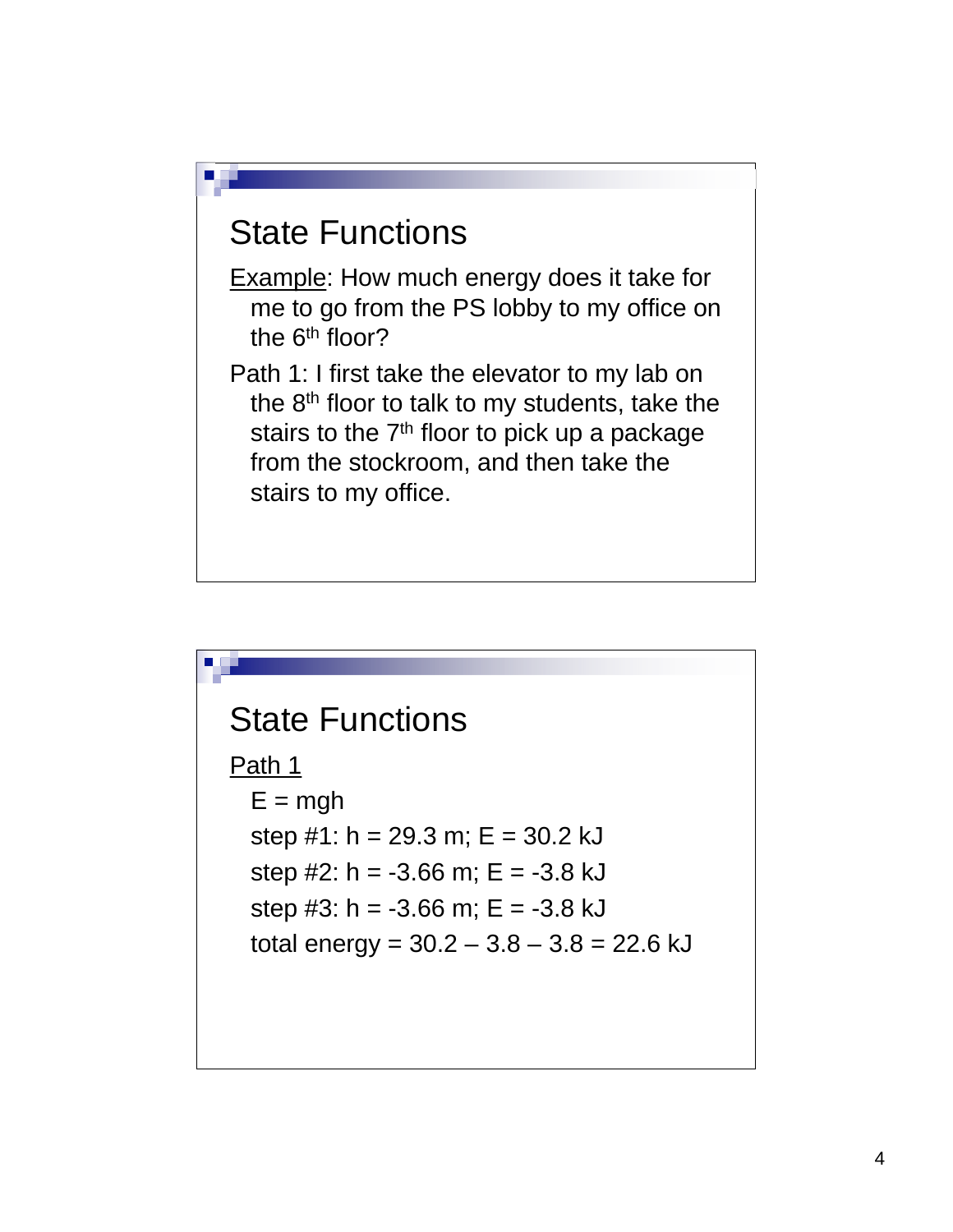

Example: How much energy does it take for me to go from the PS lobby to my office on the 6<sup>th</sup> floor?

Path 1: I first take the elevator to my lab on the  $8<sup>th</sup>$  floor to talk to my students, take the stairs to the  $7<sup>th</sup>$  floor to pick up a package from the stockroom, and then take the stairs to my office.

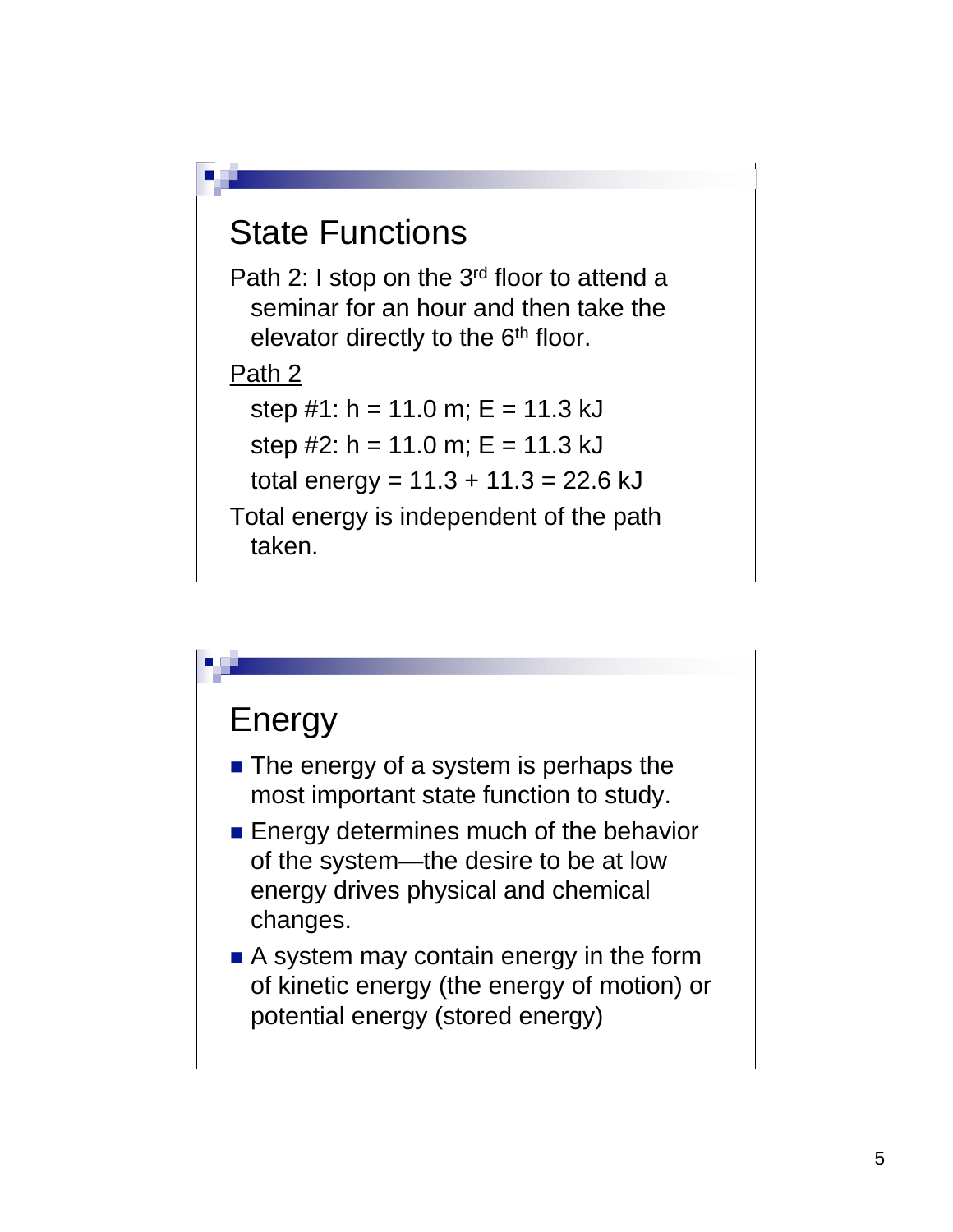

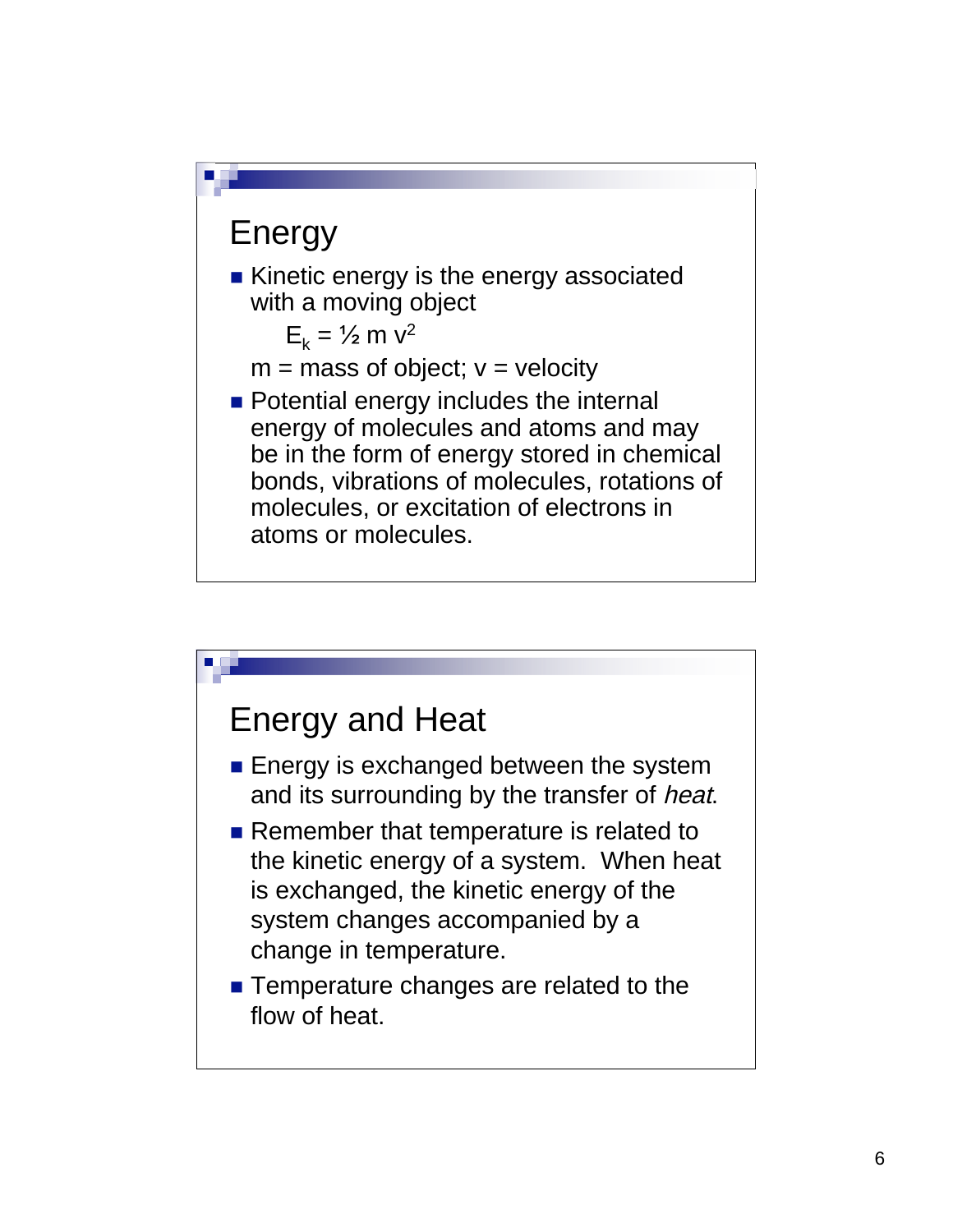

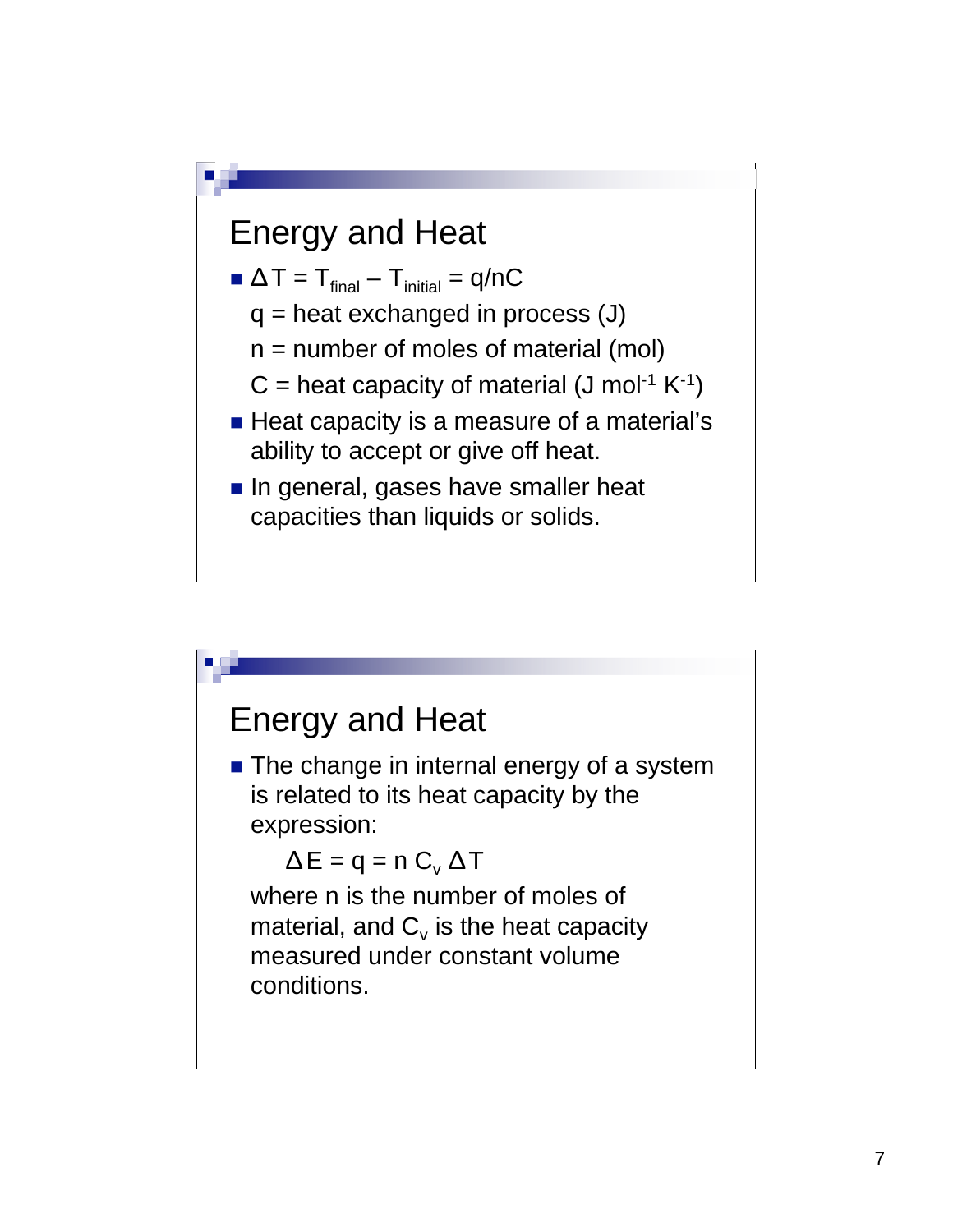

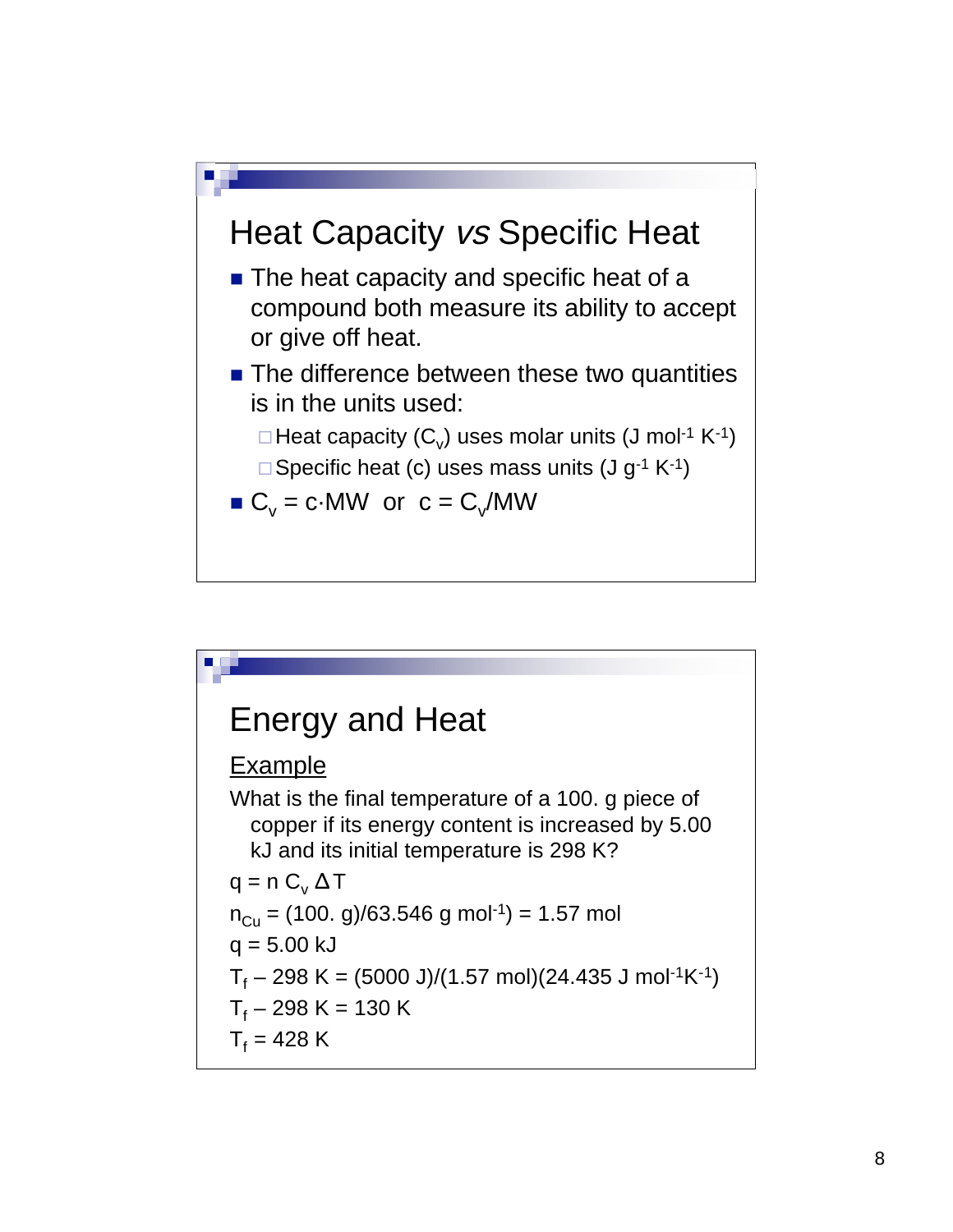

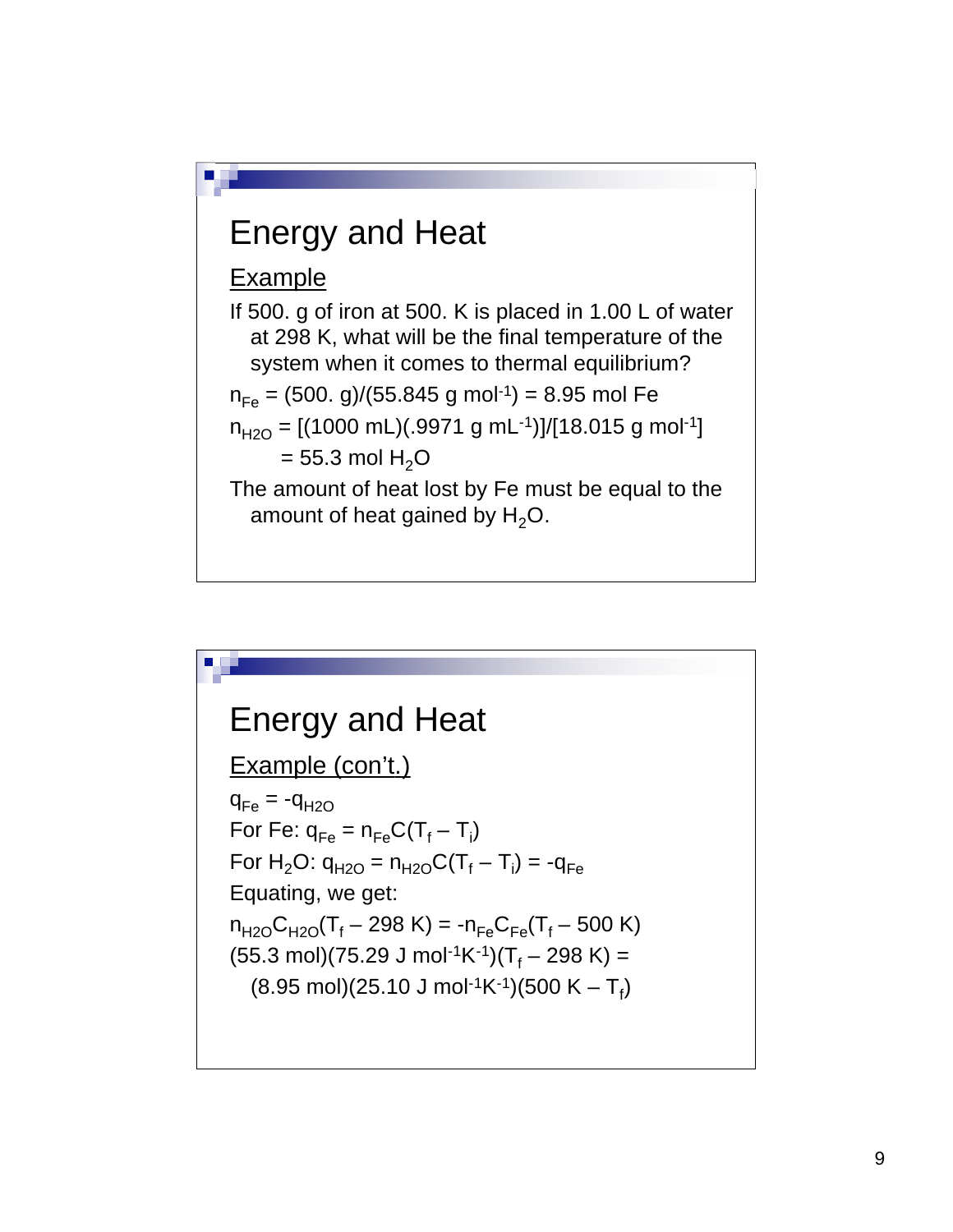

#### Energy and Heat Example (con't.)  $q_{Fe} = -q_{H2O}$

For Fe:  $q_{Fe} = n_{Fe}C(T_f - T_i)$ For  $H_2O$ :  $q_{H2O} = n_{H2O}C(T_f - T_i) = -q_{Fe}$ Equating, we get:  $n_{H2O}C_{H2O}(T_f - 298 \text{ K}) = -n_{Fe}C_{Fe}(T_f - 500 \text{ K})$  $(55.3 \text{ mol})(75.29 \text{ J mol}^{-1} \text{K}^{-1})(T_f - 298 \text{ K}) =$  $(8.95 \text{ mol})(25.10 \text{ J mol}^{-1} \text{K}^{-1})(500 \text{ K} - \text{T}_f)$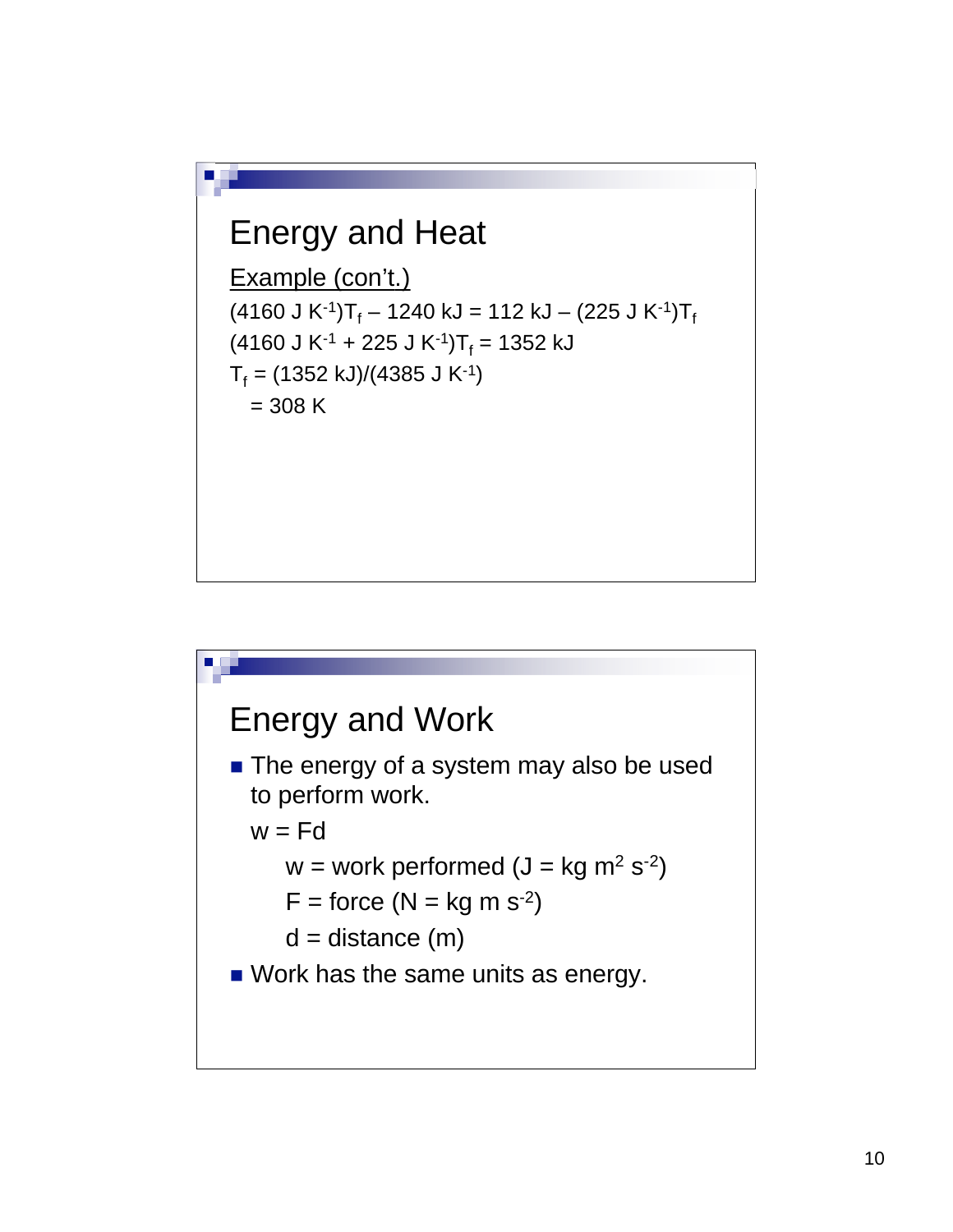#### Energy and Heat

```
Example (con't.)
(4160 \text{ J K}^{-1})T<sub>f</sub> – 1240 kJ = 112 kJ – (225 J K<sup>-1</sup>)T<sub>f</sub>
(4160 J K<sup>-1</sup> + 225 J K<sup>-1</sup>)T<sub>f</sub> = 1352 kJ
T_f = (1352 \text{ kJ})/(4385 \text{ J K}^{-1})= 308 K
```
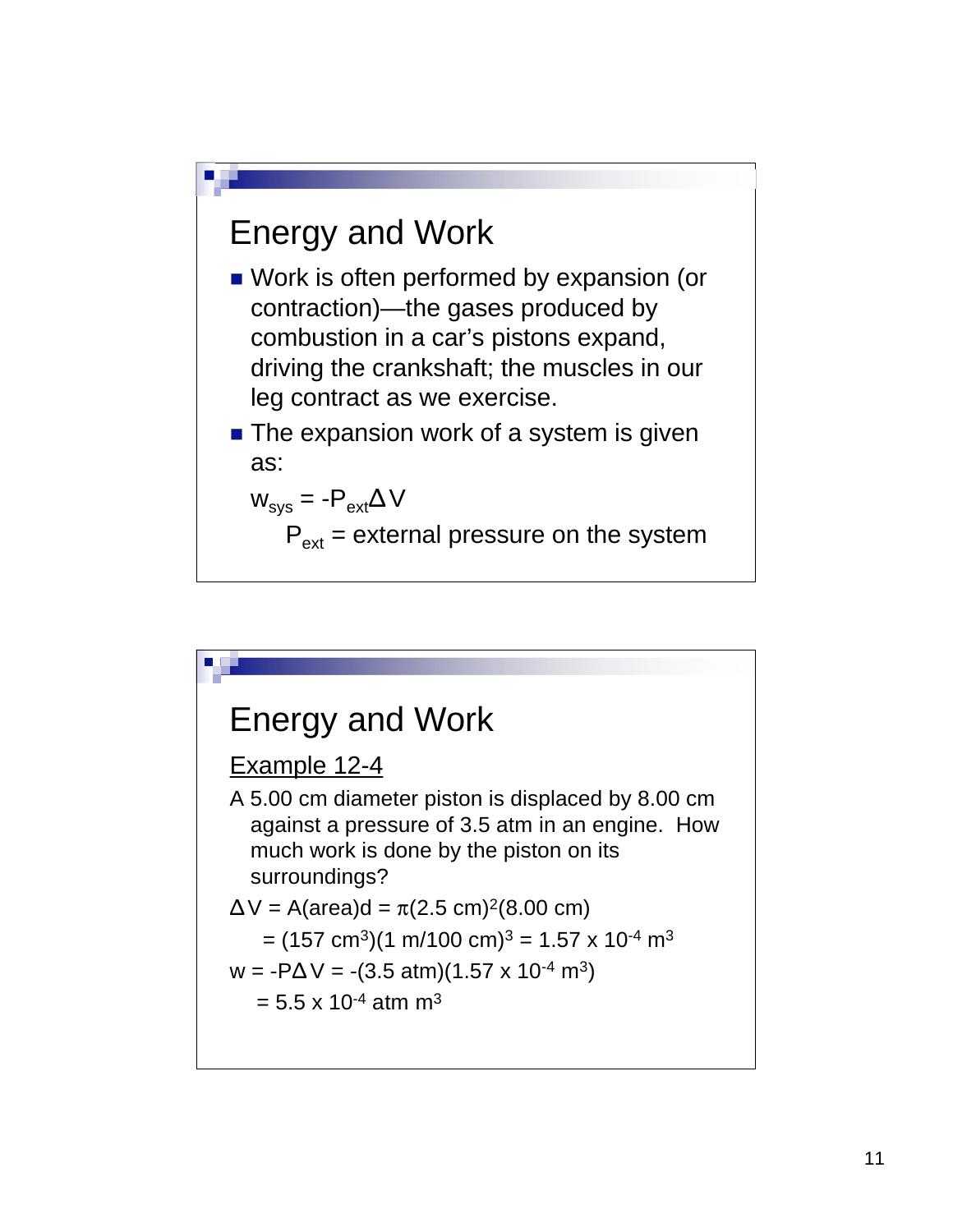#### Energy and Work

- **Nork is often performed by expansion (or** contraction)—the gases produced by combustion in a car's pistons expand, driving the crankshaft; the muscles in our leg contract as we exercise.
- **The expansion work of a system is given** as:

$$
W_{sys} = -P_{ext} \Delta V
$$

 $P_{ext}$  = external pressure on the system

# Energy and Work Example 12-4

A 5.00 cm diameter piston is displaced by 8.00 cm against a pressure of 3.5 atm in an engine. How much work is done by the piston on its surroundings?

$$
\Delta V = A(\text{area})d = \pi (2.5 \text{ cm})^2 (8.00 \text{ cm})
$$

$$
= (157 \text{ cm}^3)(1 \text{ m}/100 \text{ cm})^3 = 1.57 \times 10^{-4} \text{ m}^3
$$

$$
w = -P\Delta V = -(3.5 \text{ atm})(1.57 \times 10^{-4} \text{ m}^3)
$$

 $= 5.5 \times 10^{-4}$  atm m<sup>3</sup>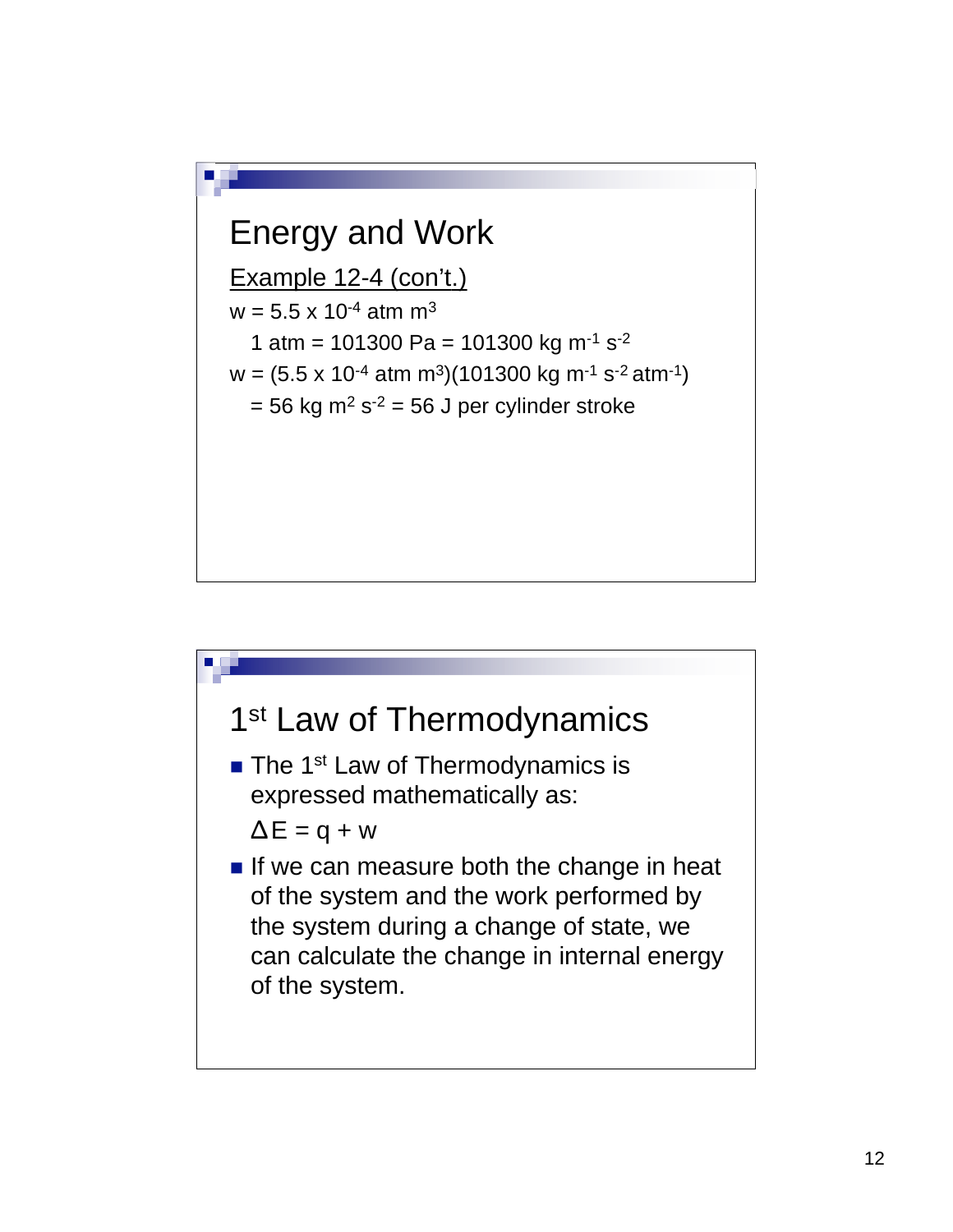

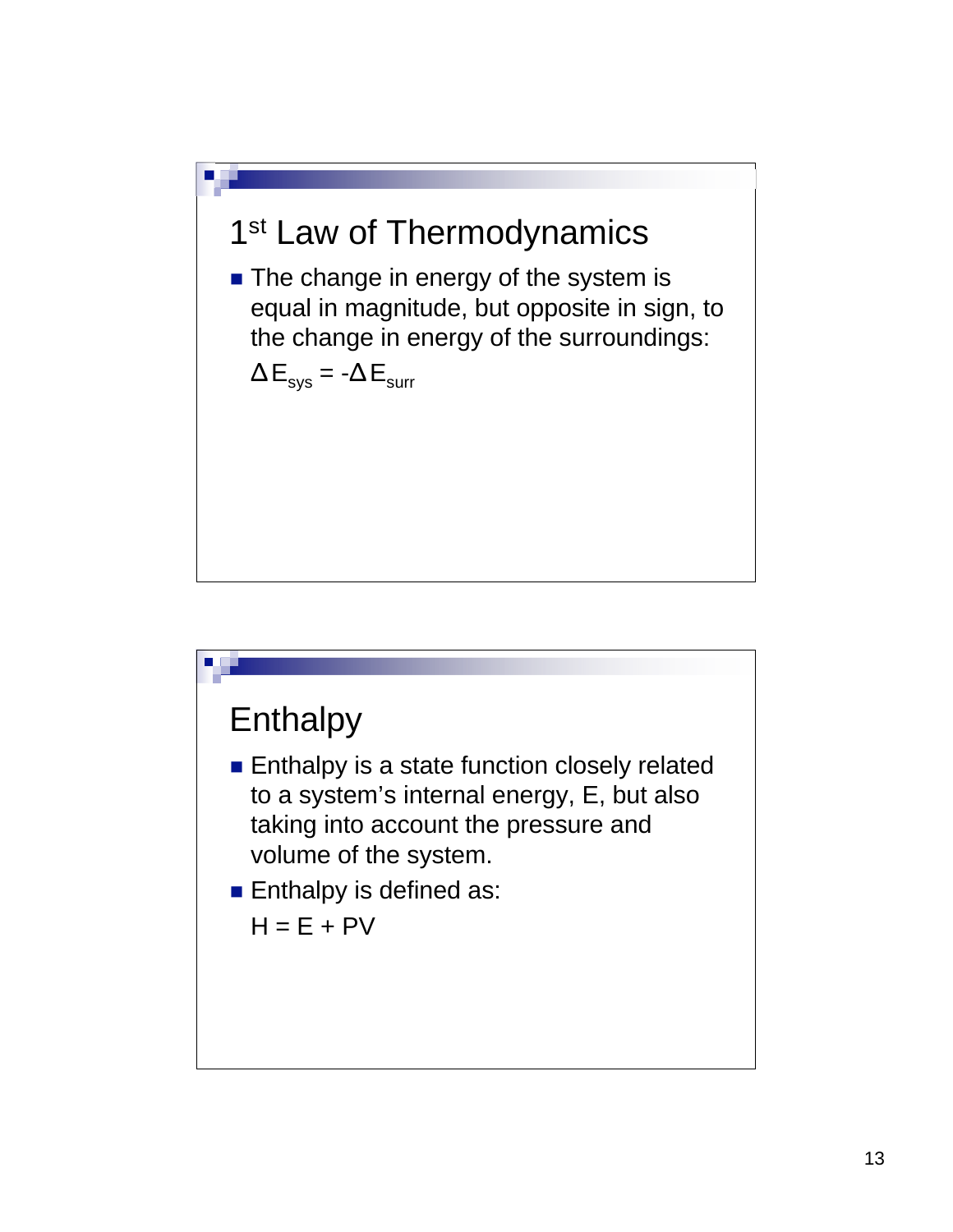## 1<sup>st</sup> Law of Thermodynamics

**The change in energy of the system is** equal in magnitude, but opposite in sign, to the change in energy of the surroundings:

$$
\Delta E_{sys} = -\Delta E_{surr}
$$

# **Enthalpy Enthalpy is a state function closely related** to a system's internal energy, E, but also taking into account the pressure and volume of the system. **Enthalpy is defined as:**  $H = E + PV$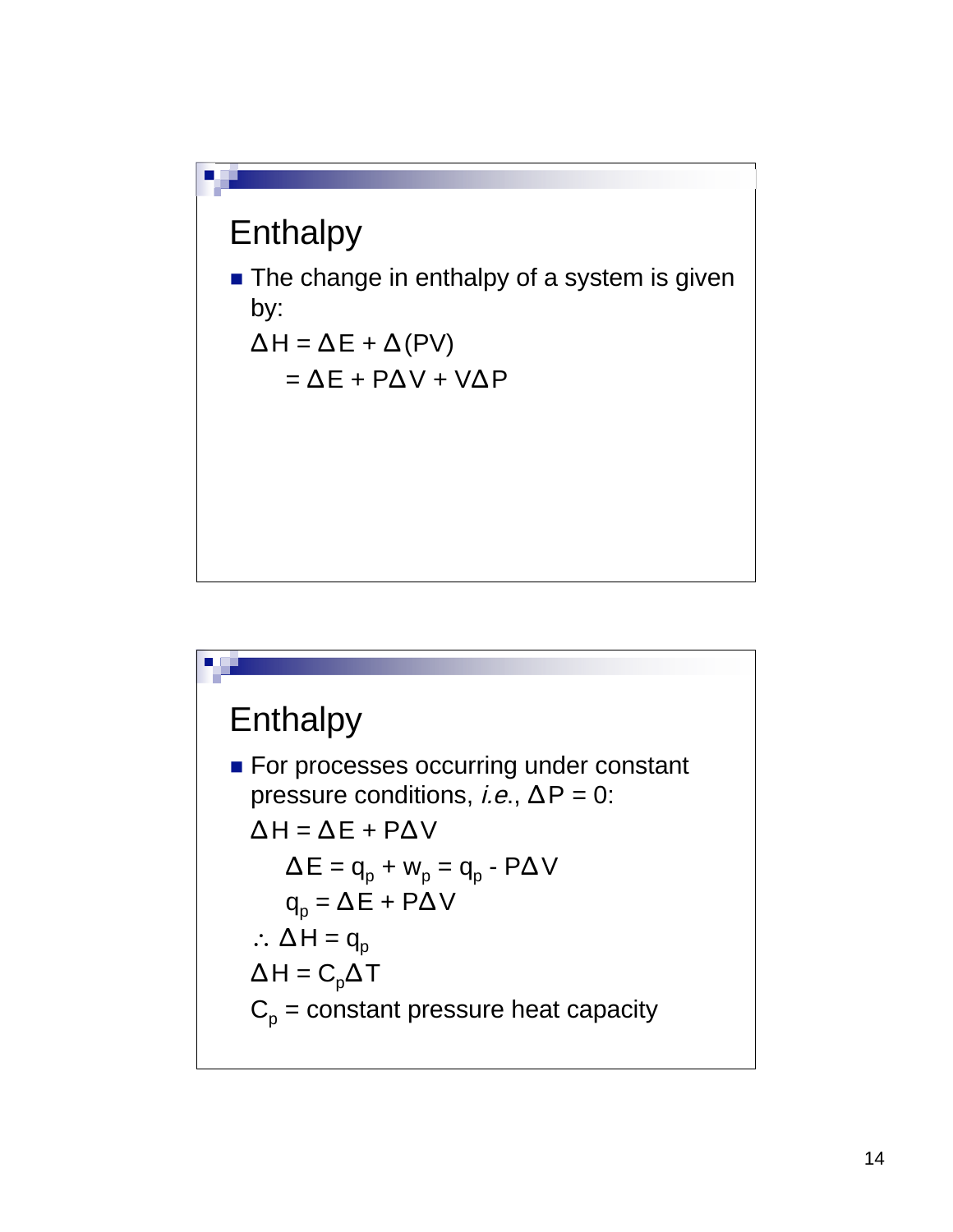#### **Enthalpy**

**The change in enthalpy of a system is given** by:

$$
\Delta H = \Delta E + \Delta (PV)
$$
  
=  $\Delta E + P \Delta V + V \Delta P$ 

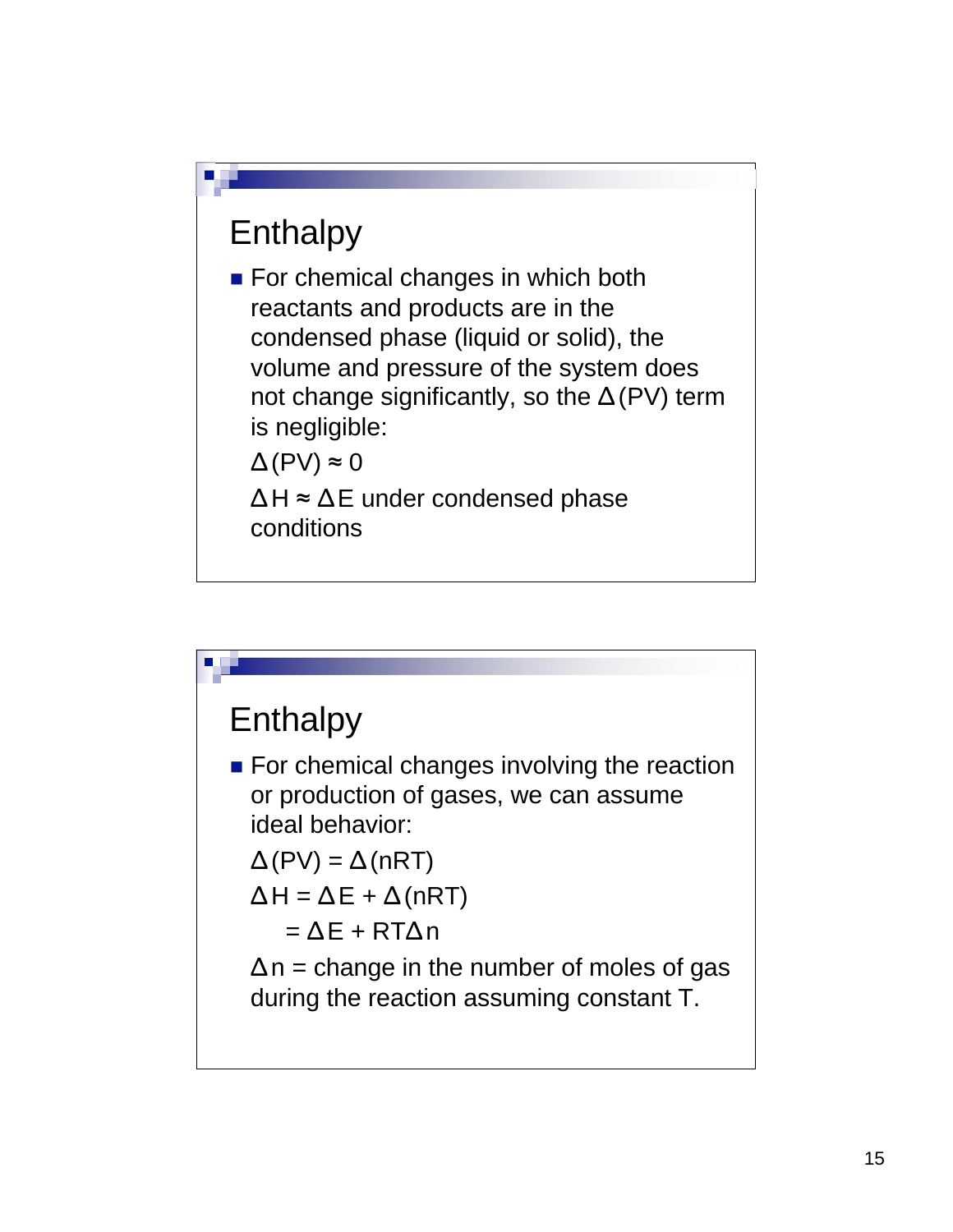## **Enthalpy**

■ For chemical changes in which both reactants and products are in the condensed phase (liquid or solid), the volume and pressure of the system does not change significantly, so the  $\Delta$ (PV) term is negligible:

 $\Delta(PV) \approx 0$ 

 $\Delta H \approx \Delta E$  under condensed phase conditions

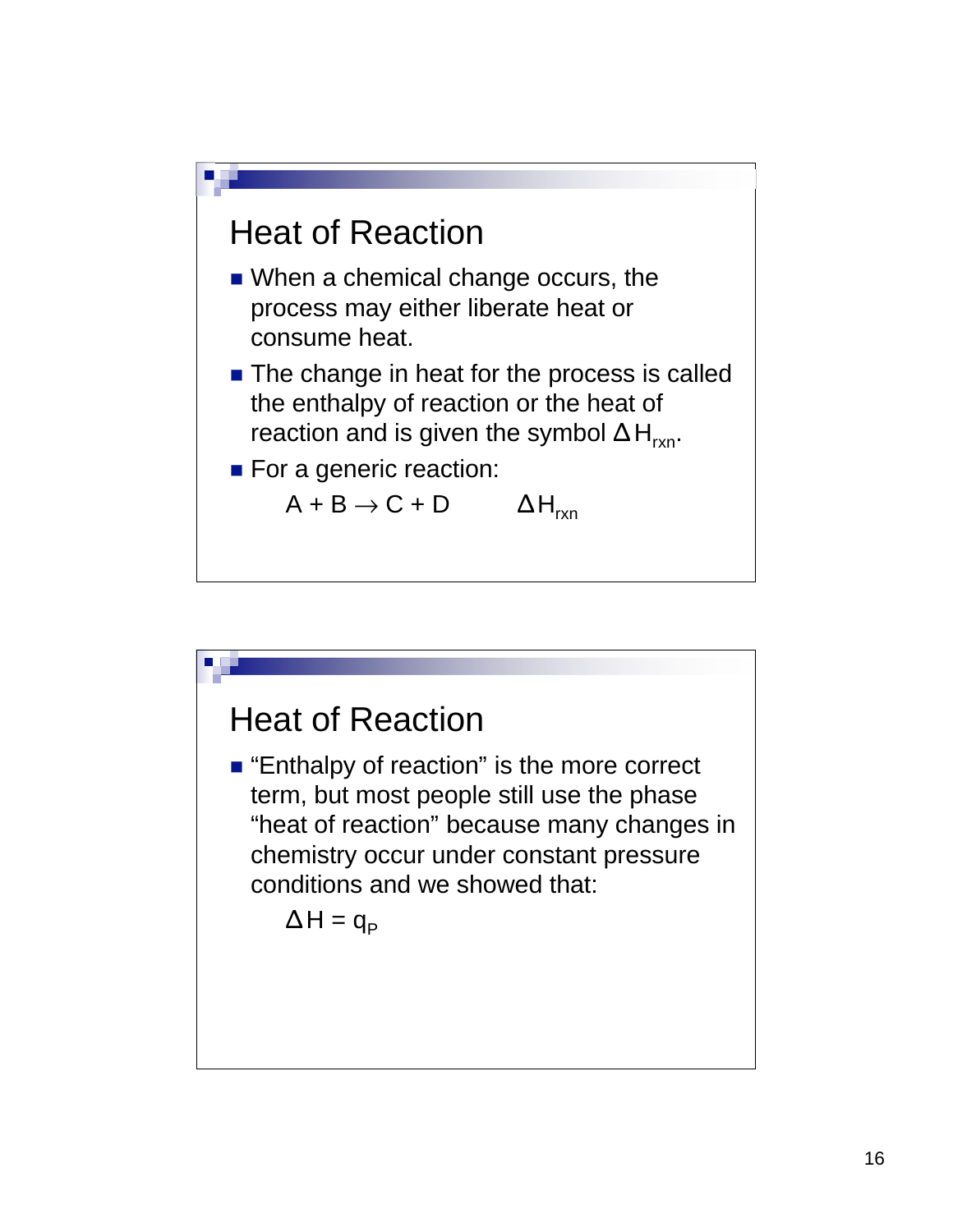

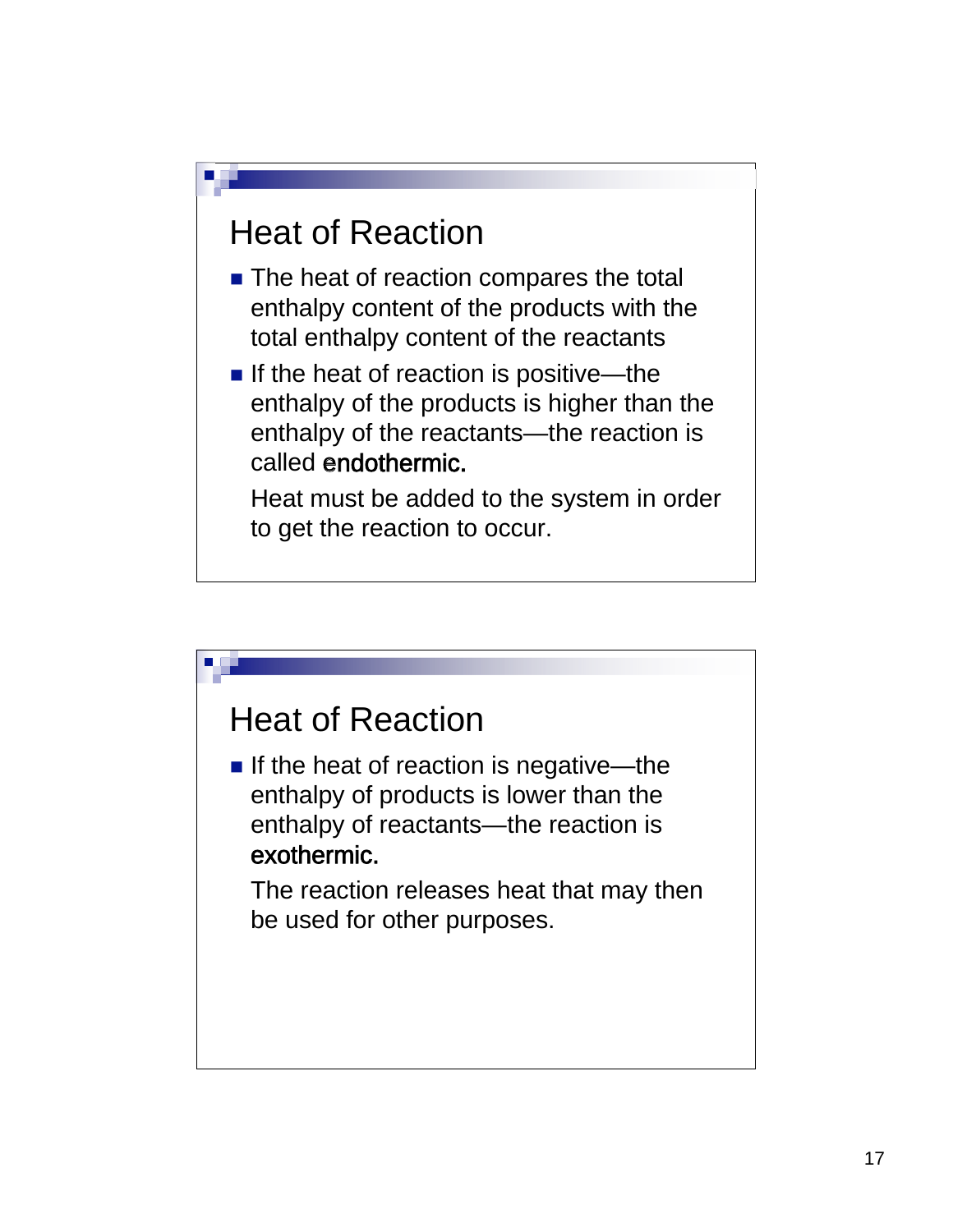#### Heat of Reaction

- The heat of reaction compares the total enthalpy content of the products with the total enthalpy content of the reactants
- If the heat of reaction is positive—the enthalpy of the products is higher than the enthalpy of the reactants—the reaction is called endothermic.

Heat must be added to the system in order to get the reaction to occur.

#### Heat of Reaction

If the heat of reaction is negative—the enthalpy of products is lower than the enthalpy of reactants—the reaction is exothermic.

The reaction releases heat that may then be used for other purposes.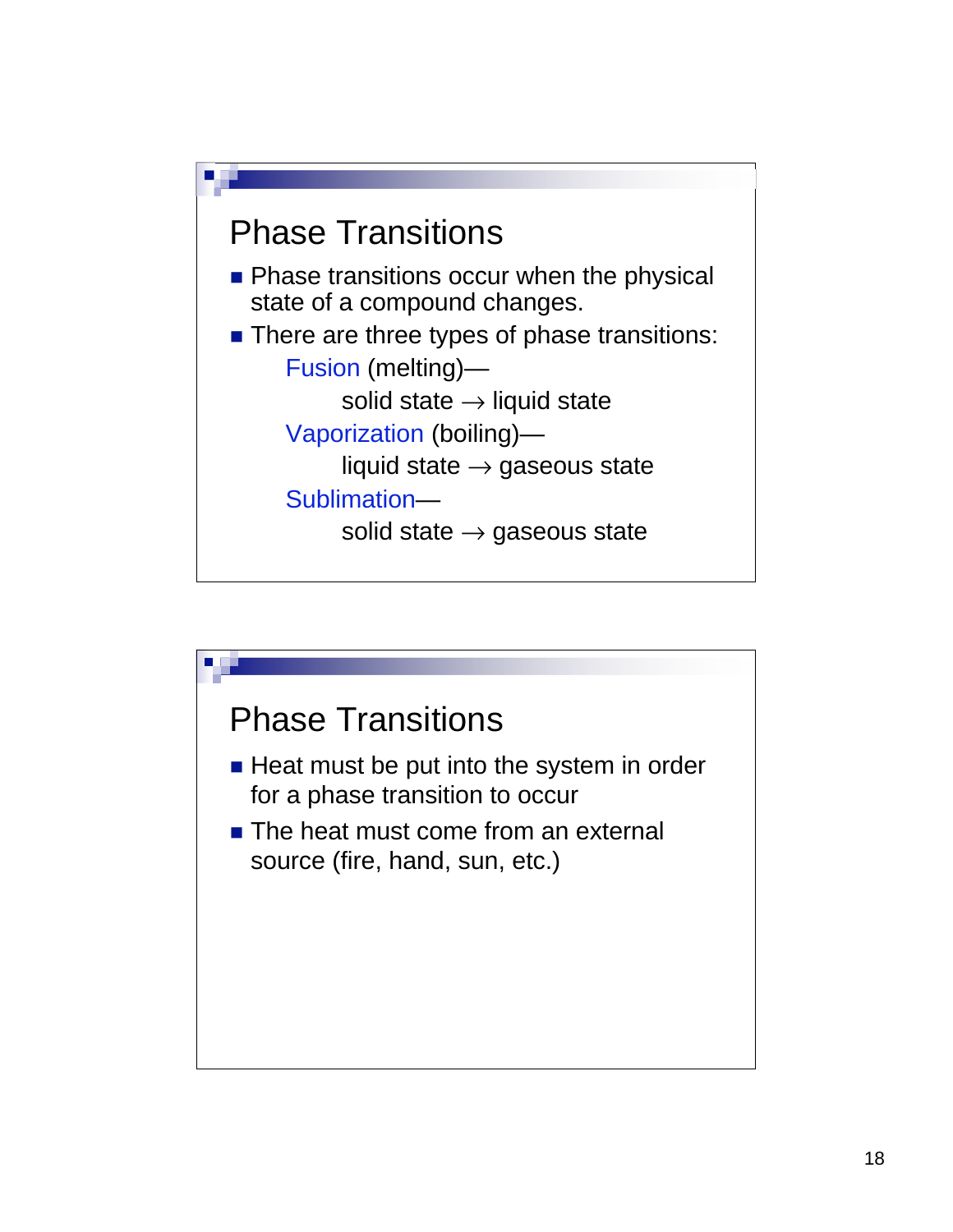

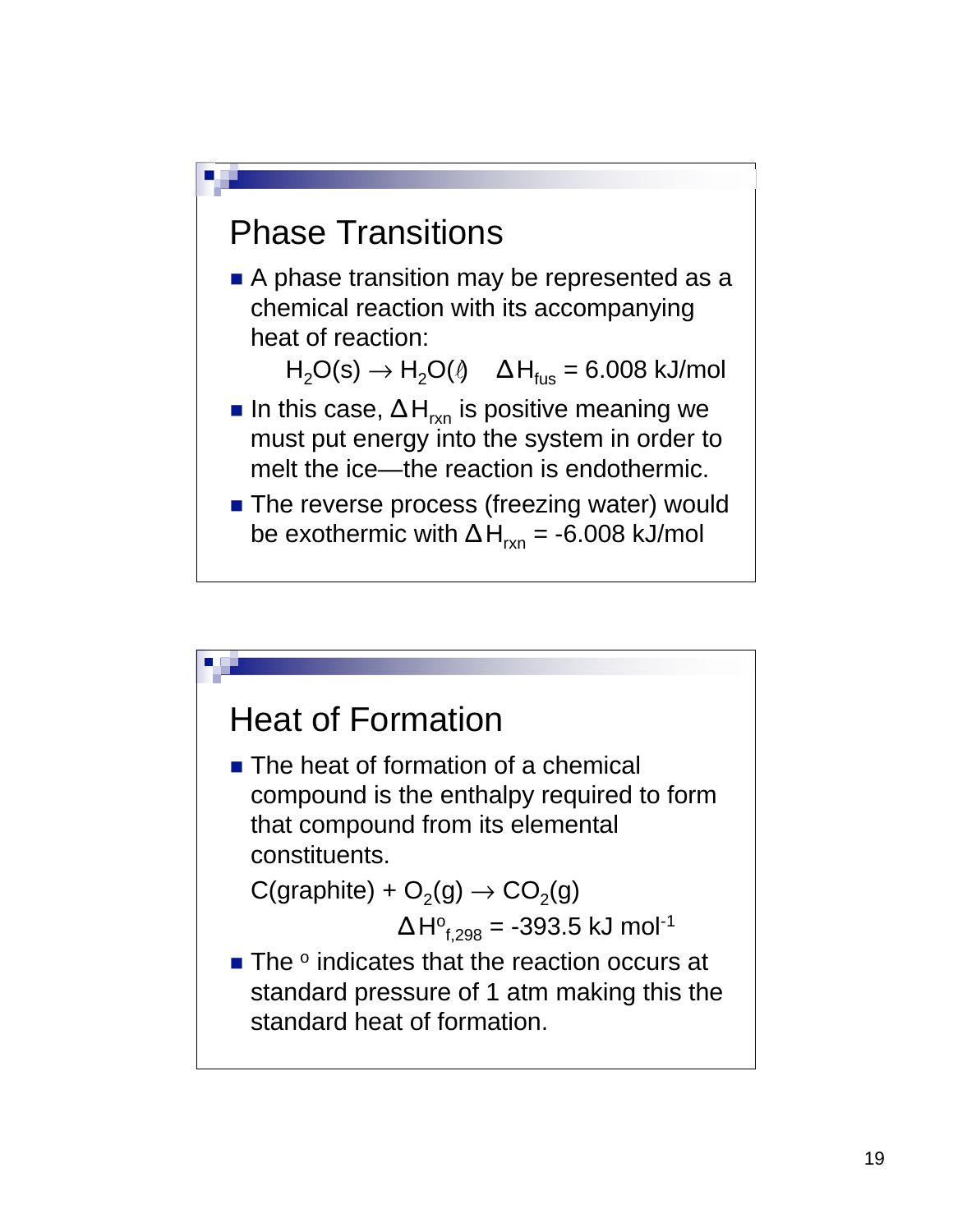

### Heat of Formation ■ The heat of formation of a chemical compound is the enthalpy required to form that compound from its elemental constituents.  $C(\text{graphite}) + O_2(q) \rightarrow CO_2(q)$  $\Delta$ H $^{\circ}_{\rm f,298}$  = -393.5 kJ mol<sup>-1</sup>  $\blacksquare$  The  $\circ$  indicates that the reaction occurs at standard pressure of 1 atm making this the standard heat of formation.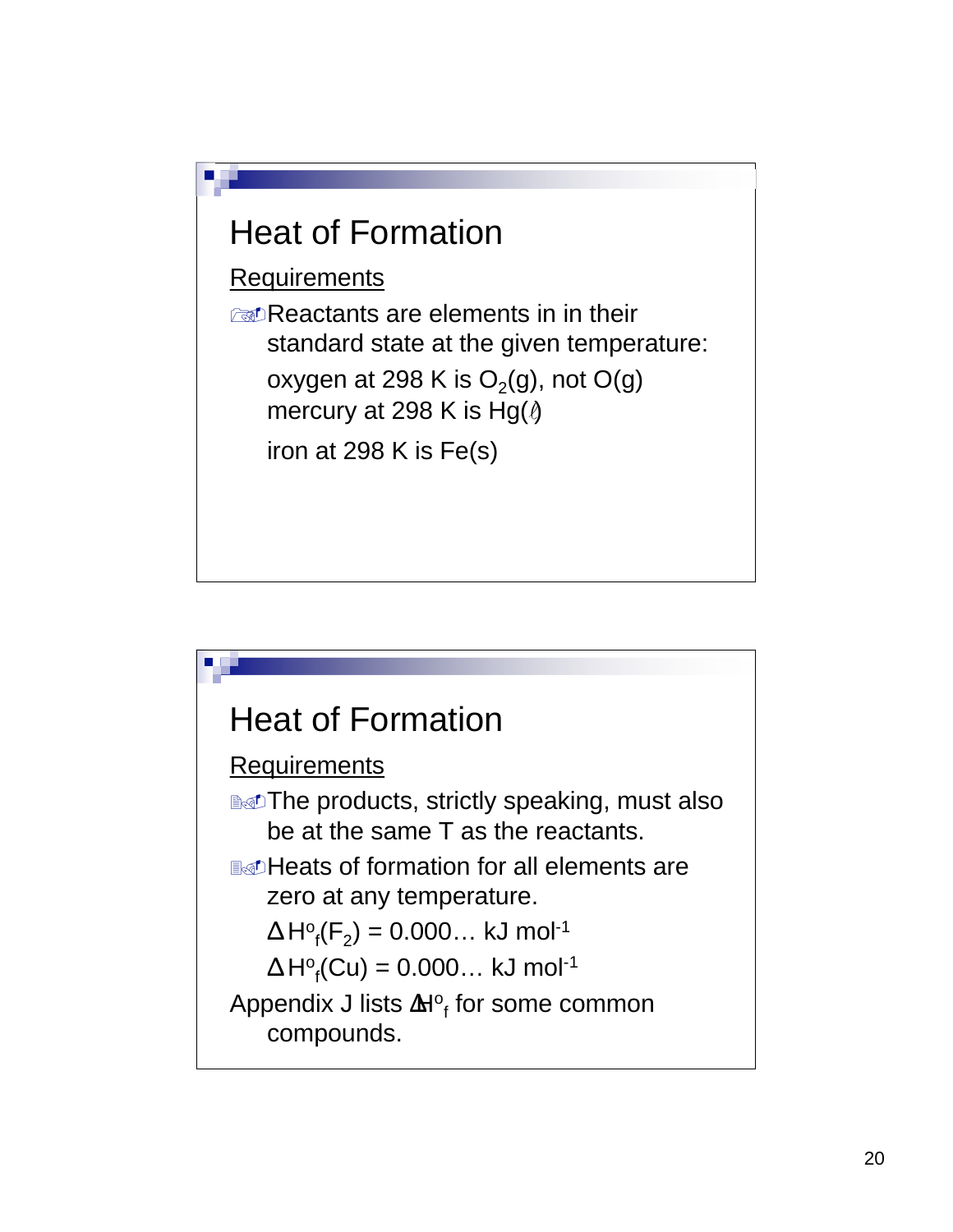## Heat of Formation

**Requirements** 

reactants are elements in in their standard state at the given temperature: oxygen at 298 K is  $O_2(g)$ , not O(g) mercury at 298 K is Hg( $\theta$ iron at 298 K is Fe(s)

#### Heat of Formation

#### **Requirements**

**Net Drepsedicts, strictly speaking, must also** be at the same T as the reactants.

Heats of formation for all elements are zero at any temperature.

$$
\Delta H^o_f(F_2) = 0.000\ldots \text{ kJ mol}^{-1}
$$

 $\Delta H$ <sup>o</sup><sub>f</sub>(Cu) = 0.000… kJ mol<sup>-1</sup>

Appendix J lists  $\textbf{M}^\text{o}_{\textsf{f}}$  for some common compounds.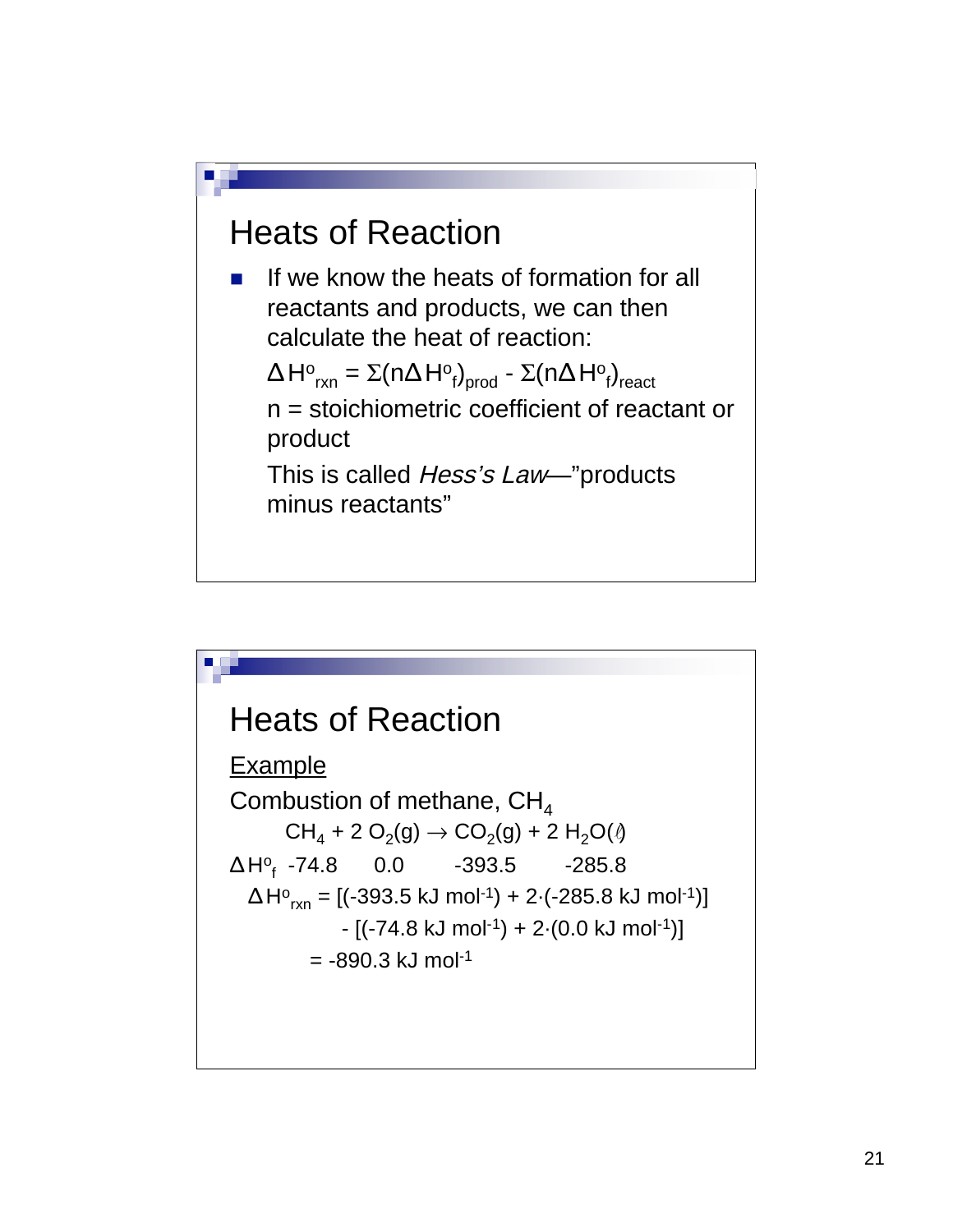#### Heats of Reaction

 $\blacksquare$  If we know the heats of formation for all reactants and products, we can then calculate the heat of reaction:

 $\Delta H^\text{o}{}_{\mathsf{rxn}} = \Sigma ( \text{n} \Delta H^\text{o}{}_{\mathsf{f}} )_{\mathsf{prod}}$  -  $\Sigma ( \text{n} \Delta H^\text{o}{}_{\mathsf{f}} )_{\mathsf{react}}$ n = stoichiometric coefficient of reactant or product

This is called Hess's Law-"products minus reactants"

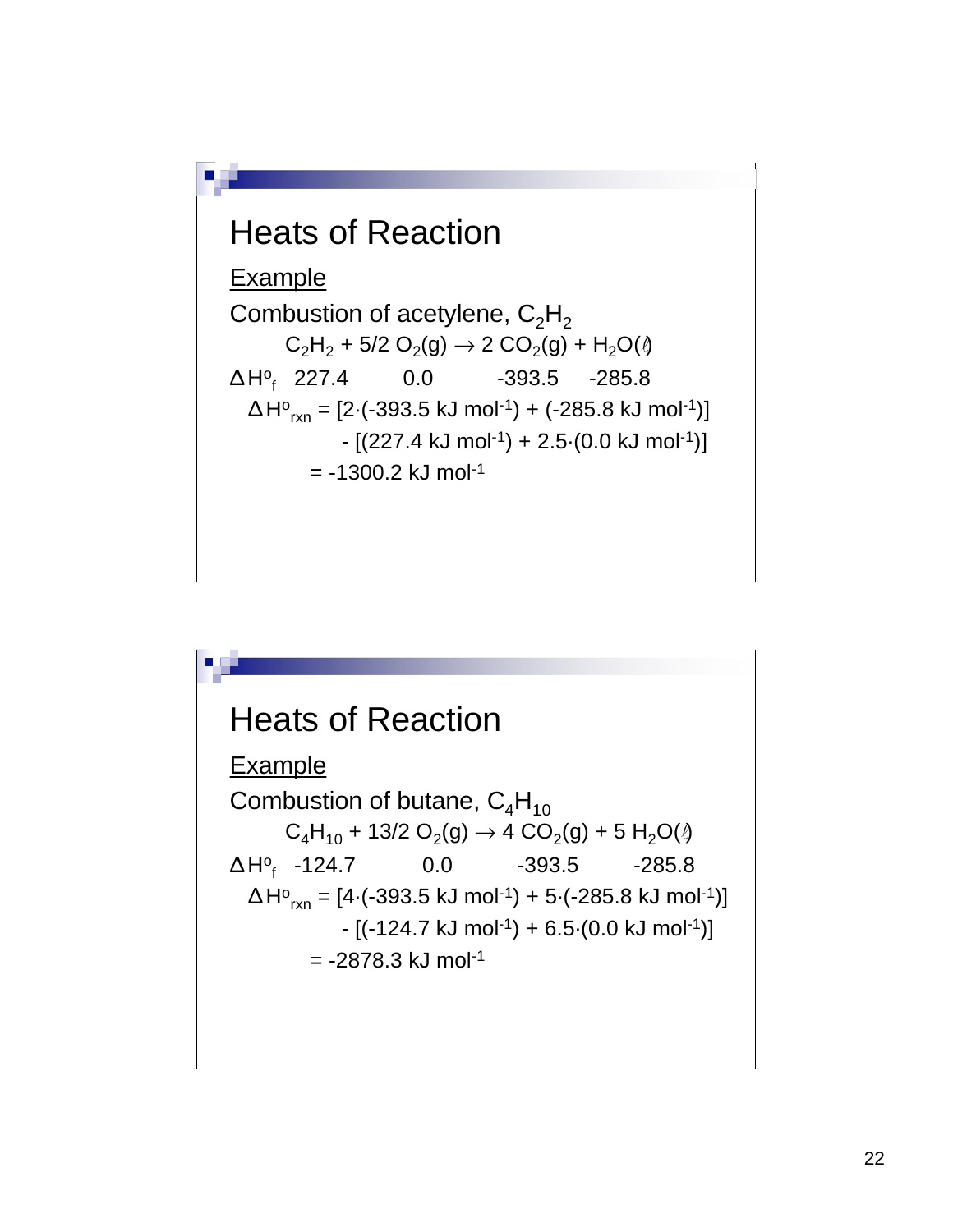

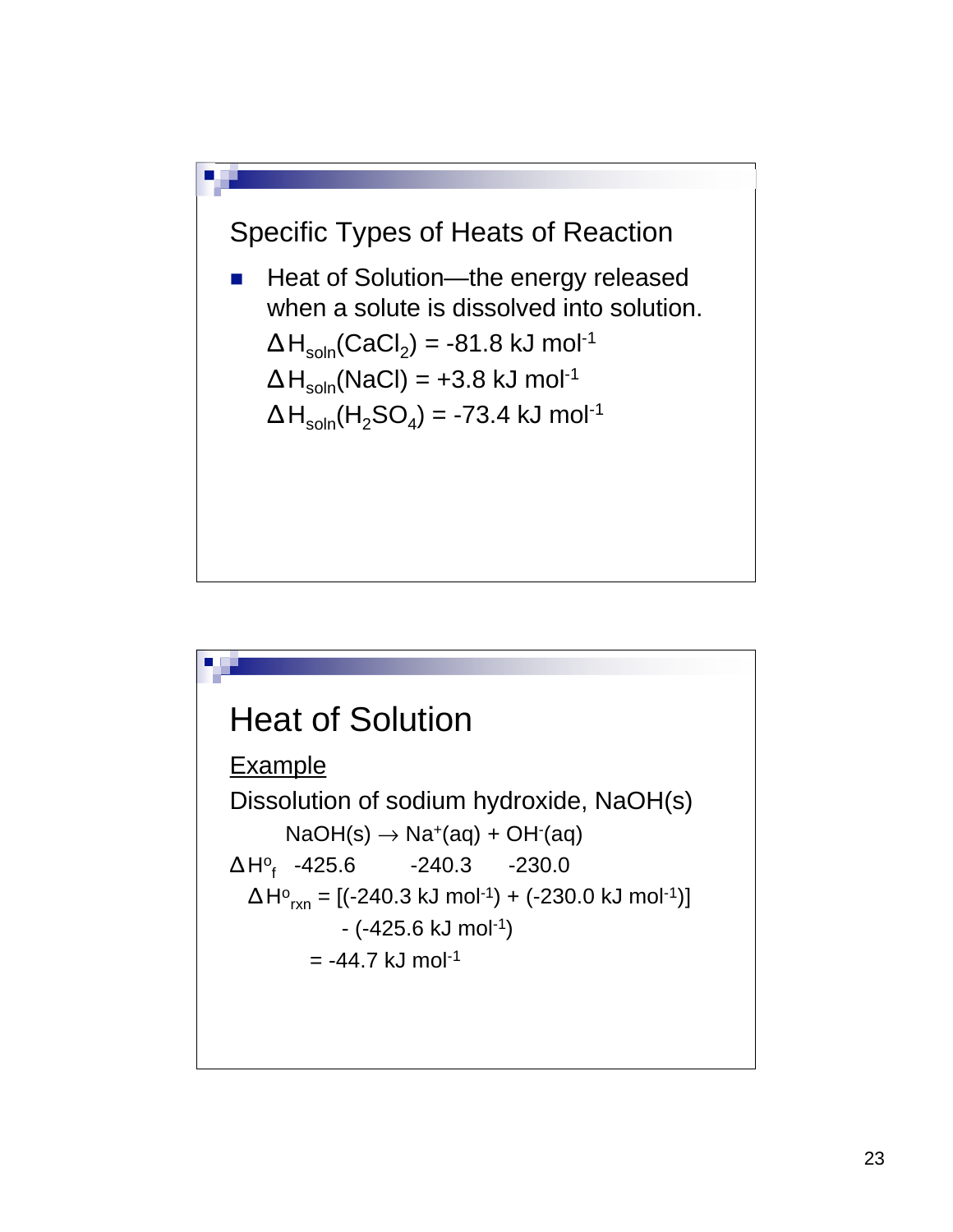

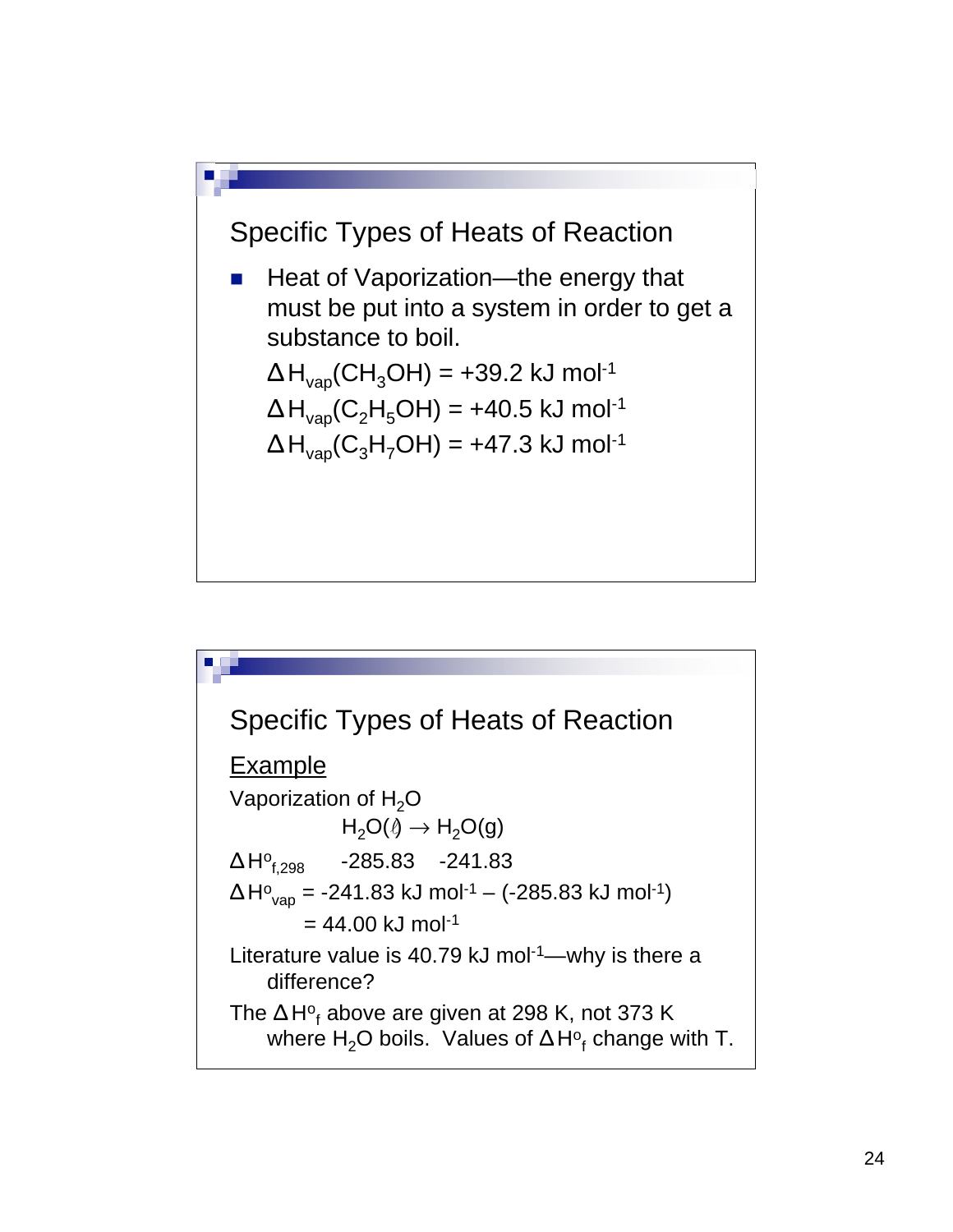

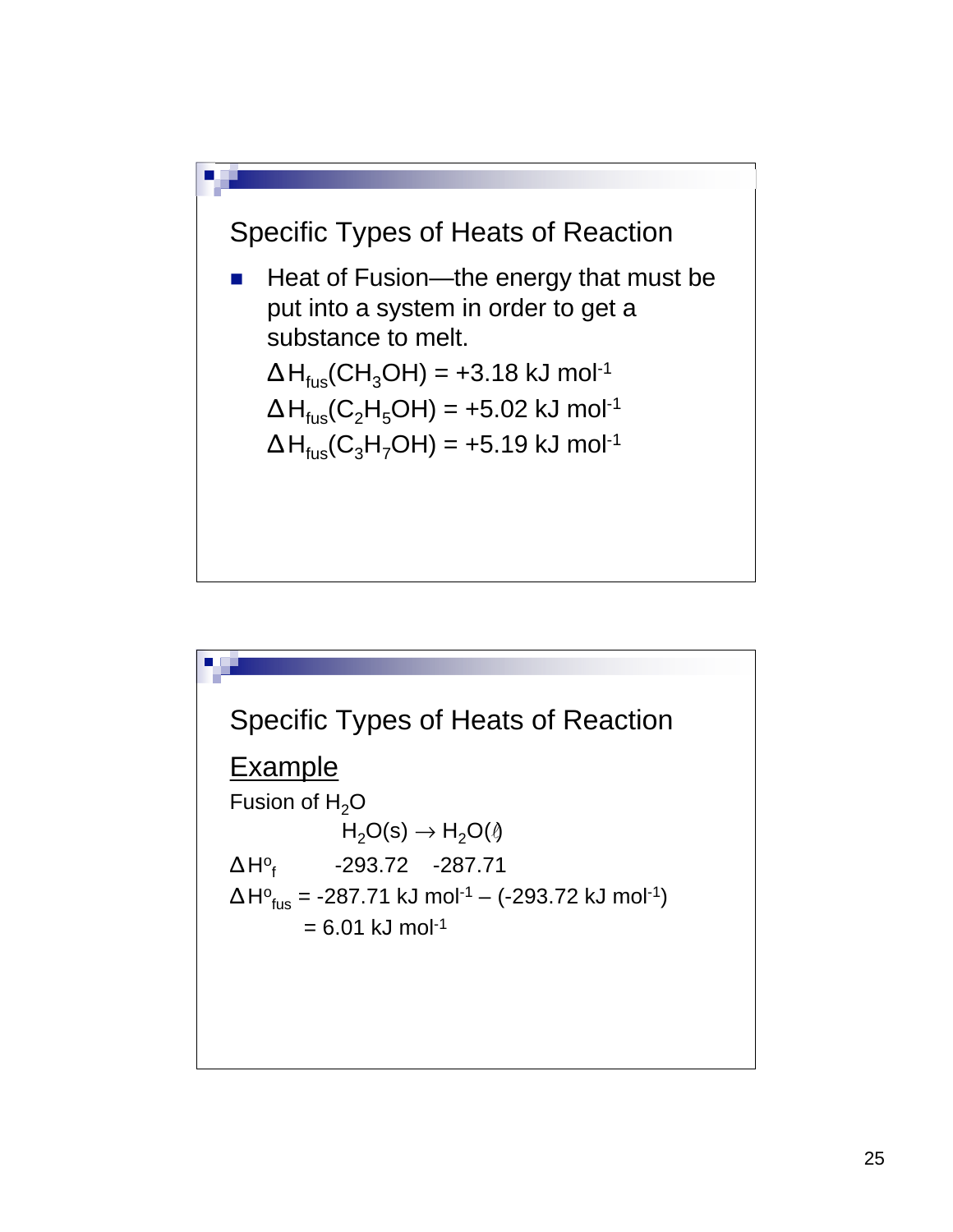

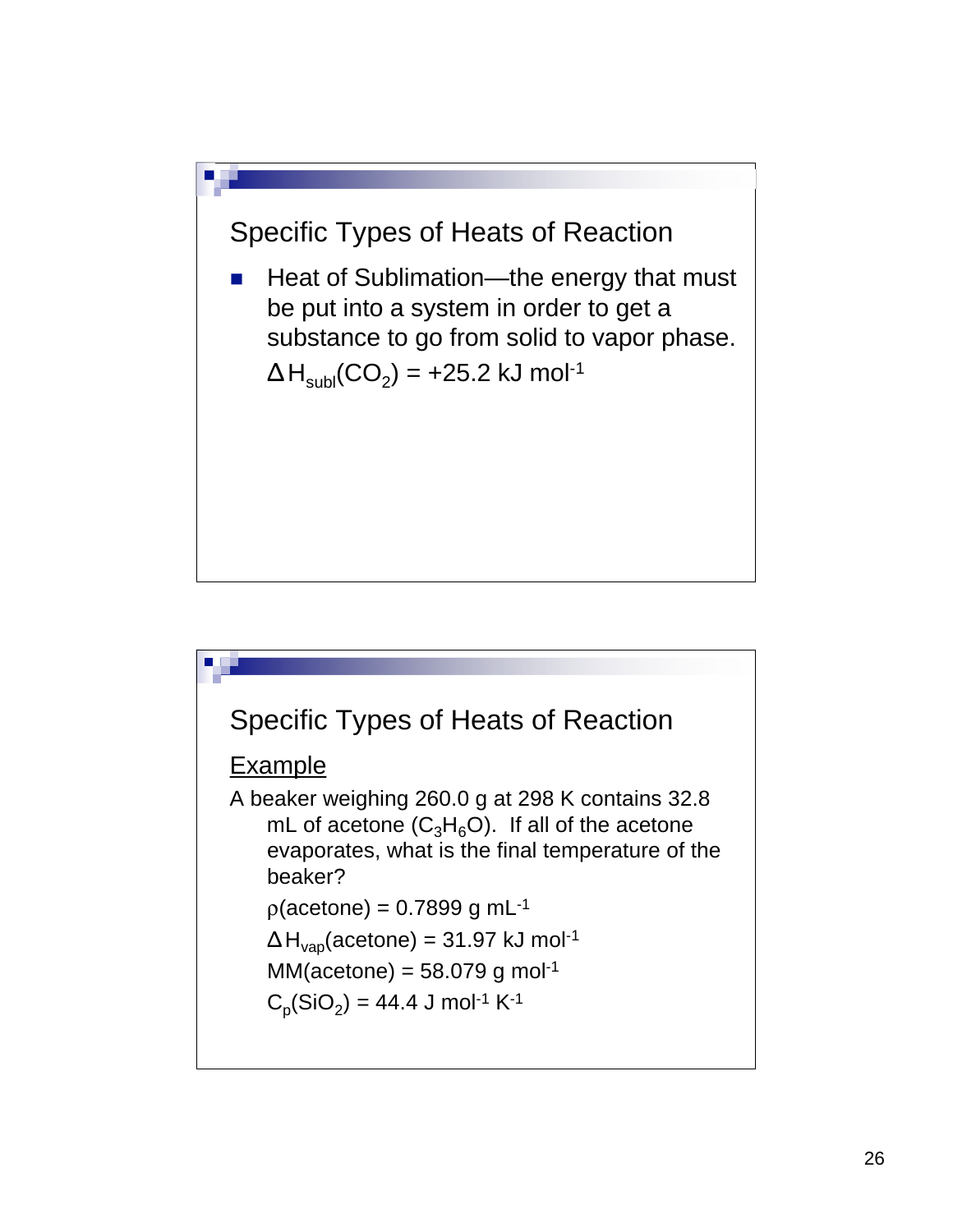

■ Heat of Sublimation—the energy that must be put into a system in order to get a substance to go from solid to vapor phase.  $\Delta H_{sub} (CO_2) = +25.2$  kJ mol<sup>-1</sup>



**Example** 

A beaker weighing 260.0 g at 298 K contains 32.8 mL of acetone  $(C_3H_6O)$ . If all of the acetone evaporates, what is the final temperature of the beaker?

 $p$ (acetone) = 0.7899 g mL<sup>-1</sup>

$$
\Delta H_{vap}
$$
(acetone) = 31.97 kJ mol<sup>-1</sup>

$$
MM(acetone) = 58.079 \text{ g mol}^{-1}
$$

$$
C_p(SiO_2) = 44.4 J mol-1 K-1
$$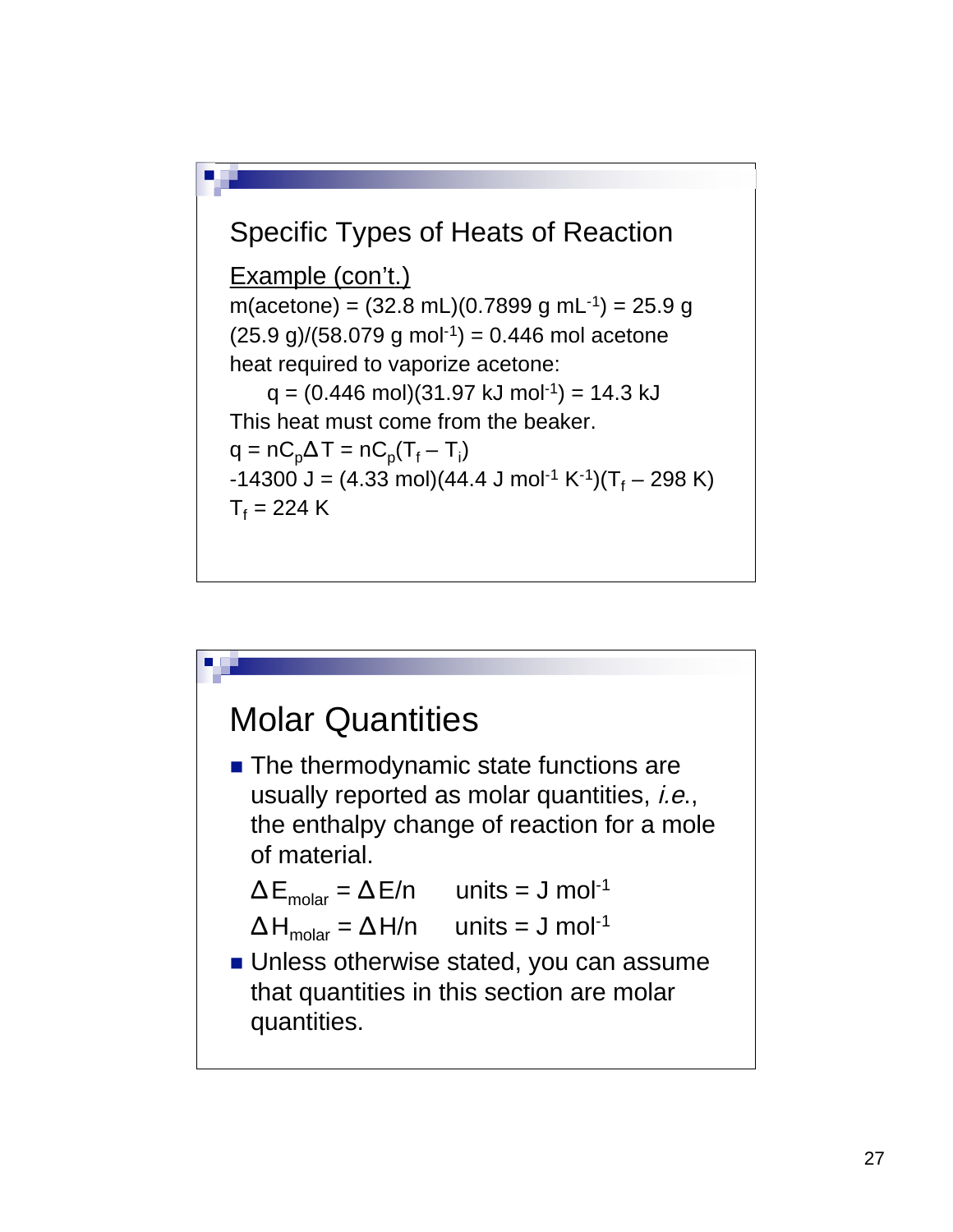

#### Molar Quantities

■ The thermodynamic state functions are usually reported as molar quantities, *i.e.*, the enthalpy change of reaction for a mole of material.

$$
\Delta E_{\text{molar}} = \Delta E/n \quad \text{units} = J \text{ mol}^{-1}
$$

$$
\Delta H_{\text{molar}} = \Delta H/n \quad \text{units} = J \text{ mol}^{-1}
$$

**Unless otherwise stated, you can assume** that quantities in this section are molar quantities.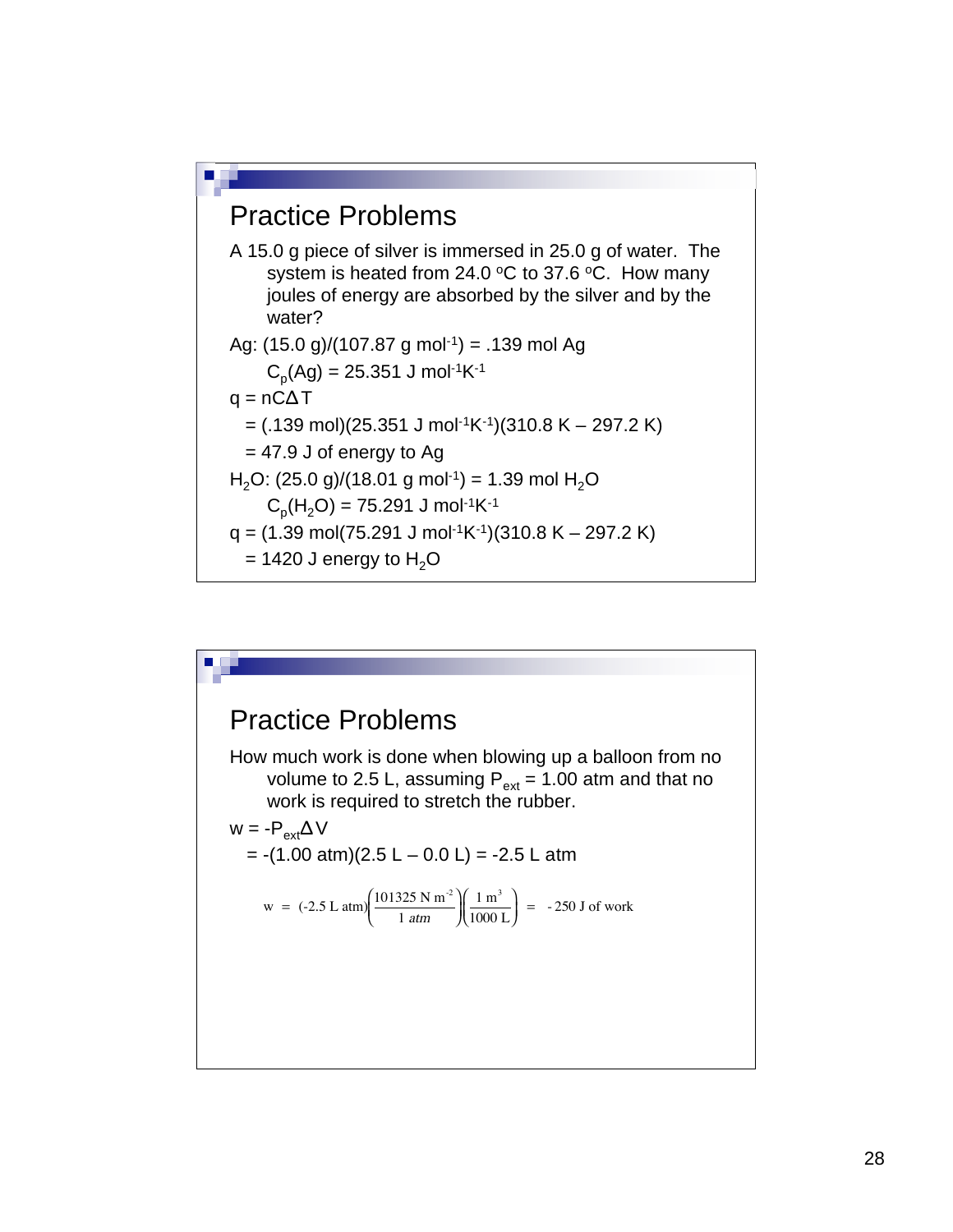#### Practice Problems

A 15.0 g piece of silver is immersed in 25.0 g of water. The system is heated from 24.0  $\degree$ C to 37.6  $\degree$ C. How many joules of energy are absorbed by the silver and by the water?

Ag: (15.0 g)/(107.87 g mol-1) = .139 mol Ag Cp(Ag) = 25.351 J mol-1K-1

$$
q = n\dot{C}\Delta T
$$

= 
$$
(.139 \text{ mol})(25.351 \text{ J mol}^{-1} \text{K}^{-1})(310.8 \text{ K} - 297.2 \text{ K})
$$

 $= 47.9$  J of energy to Ag

H2O: (25.0 g)/(18.01 g mol-1) = 1.39 mol H2O

$$
C_p(H_2O) = 75.291 \text{ J mol}^{-1} \text{K}^{-1}
$$

- $q = (1.39 \text{ mol}(75.291 \text{ J mol}^{-1}\text{K}^{-1})(310.8 \text{ K} 297.2 \text{ K})$
- $= 1420$  J energy to H<sub>2</sub>O

## Practice Problems How much work is done when blowing up a balloon from no volume to 2.5 L, assuming  $P_{ext} = 1.00$  atm and that no work is required to stretch the rubber.  $w = -P_{ext} \Delta V$  $= -(1.00 \text{ atm})(2.5 \text{ L} - 0.0 \text{ L}) = -2.5 \text{ L atm}$ w =  $(-2.5 \text{ L atm}) \left( \frac{101325 \text{ N m}^{-2}}{1 \text{ atm}} \right)$  $\left(\frac{101325 \text{ N m}^2}{1 \text{ atm}}\right) \left(\frac{1 \text{ m}^3}{1000 \text{ L}}\right)$  $\left(\frac{1 \text{ m}^3}{1000 \text{ L}}\right)$  = -250 J of work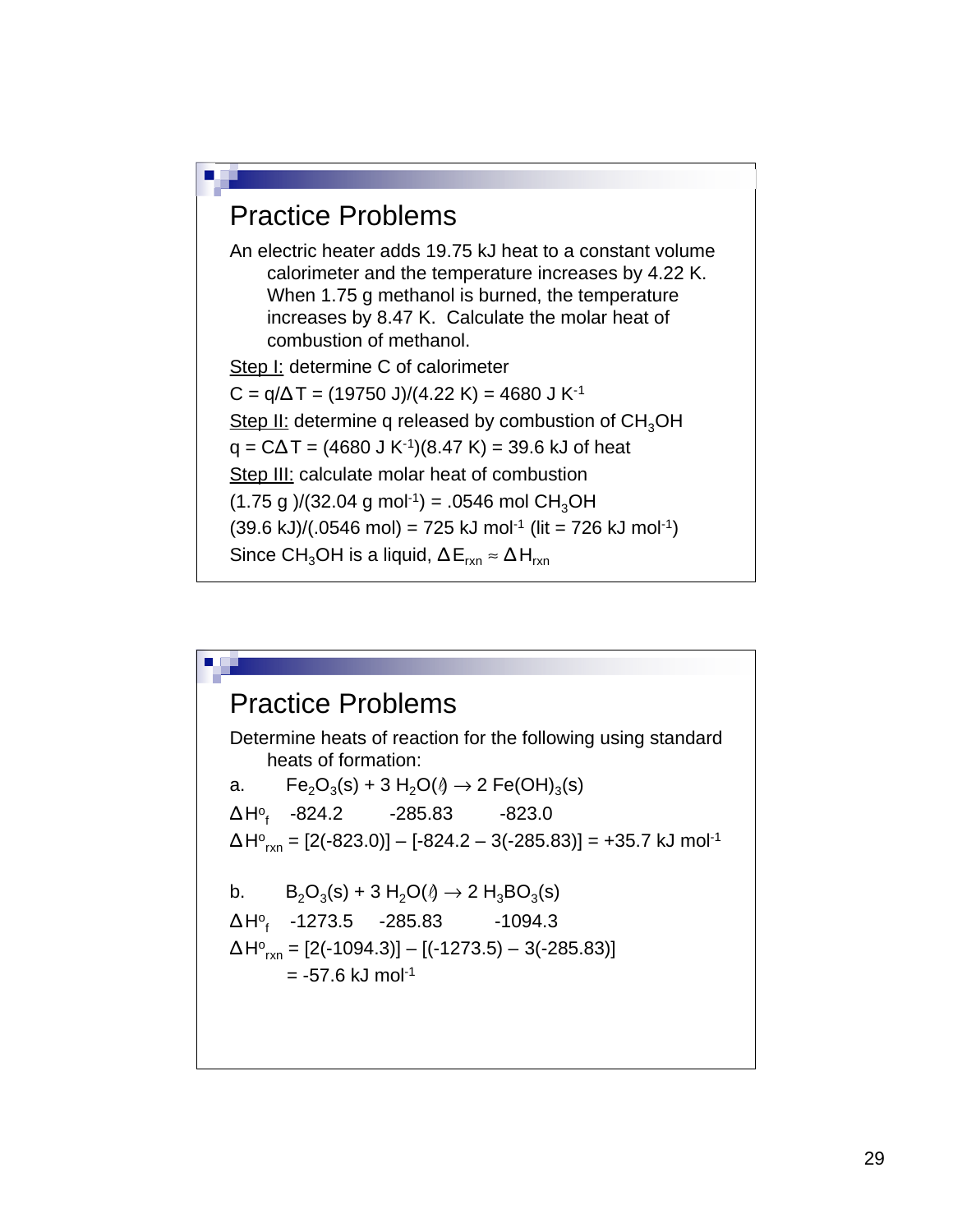#### Practice Problems

An electric heater adds 19.75 kJ heat to a constant volume calorimeter and the temperature increases by 4.22 K. When 1.75 g methanol is burned, the temperature increases by 8.47 K. Calculate the molar heat of combustion of methanol.

Step I: determine C of calorimeter  $C = q/\Delta T = (19750 \text{ J})/(4.22 \text{ K}) = 4680 \text{ J K}^{-1}$ Step II: determine q released by combustion of  $CH<sub>3</sub>OH$  $q = C\Delta T = (4680 \text{ J K}^{-1})(8.47 \text{ K}) = 39.6 \text{ kJ of heat}$ Step III: calculate molar heat of combustion  $(1.75 \text{ g})/(32.04 \text{ g mol}^{-1}) = .0546 \text{ mol } CH_3OH$  $(39.6 \text{ kJ})/(0.546 \text{ mol}) = 725 \text{ kJ} \text{ mol}^{-1}$  (lit = 726 kJ mol<sup>-1</sup>) Since CH<sub>3</sub>OH is a liquid,  $\Delta E_{rxn} \approx \Delta H_{rxn}$ 

#### Practice Problems

Determine heats of reaction for the following using standard heats of formation: a. Fe<sub>2</sub>O<sub>3</sub>(s) + 3 H<sub>2</sub>O( $\theta$   $\rightarrow$  2 Fe(OH)<sub>3</sub>(s) ΔH<sup>o</sup><sub>f</sub> -824.2 -285.83 -823.0  $\Delta H^{\circ}{}_{\text{rxn}} = [2(\text{-}823.0)] - [\text{-}824.2 - 3(\text{-}285.83)] = \text{+}35.7 \text{ kJ} \text{ mol}^{\text{-}1}$ b.  $B_2O_3(s) + 3 H_2O(\theta) \to 2 H_3BO_3(s)$ ΔHº<sub>f</sub> -1273.5 -285.83 -1094.3  $\Delta H_{\text{\tiny{C}}_{\text{rxn}}} = [2(-1094.3)] - [(-1273.5) - 3(-285.83)]$  $= -57.6$  kJ mol $^{-1}$